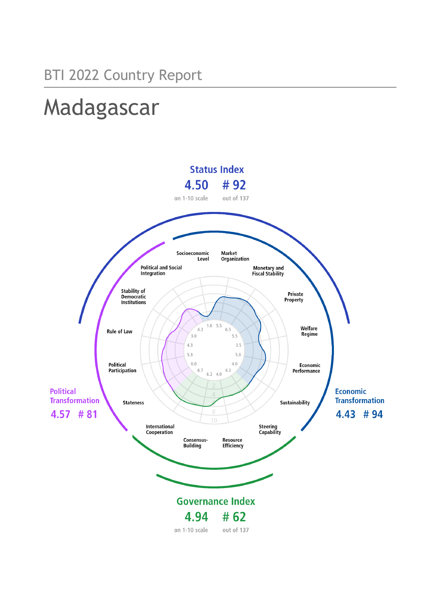# Madagascar

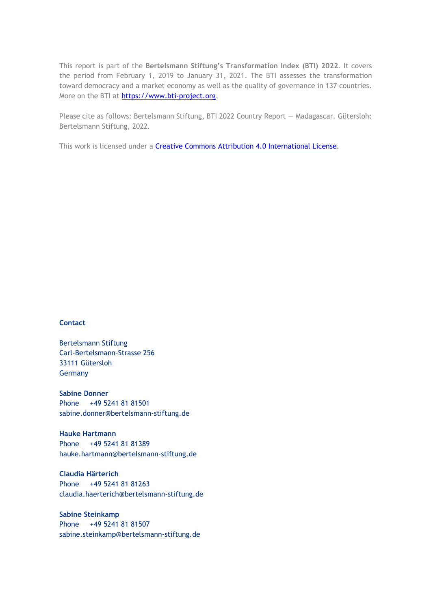This report is part of the **Bertelsmann Stiftung's Transformation Index (BTI) 2022**. It covers the period from February 1, 2019 to January 31, 2021. The BTI assesses the transformation toward democracy and a market economy as well as the quality of governance in 137 countries. More on the BTI at [https://www.bti-project.org.](https://www.bti-project.org/)

Please cite as follows: Bertelsmann Stiftung, BTI 2022 Country Report — Madagascar. Gütersloh: Bertelsmann Stiftung, 2022.

This work is licensed under a **Creative Commons Attribution 4.0 International License**.

# **Contact**

Bertelsmann Stiftung Carl-Bertelsmann-Strasse 256 33111 Gütersloh Germany

**Sabine Donner** Phone +49 5241 81 81501 sabine.donner@bertelsmann-stiftung.de

**Hauke Hartmann** Phone +49 5241 81 81389 hauke.hartmann@bertelsmann-stiftung.de

**Claudia Härterich** Phone +49 5241 81 81263 claudia.haerterich@bertelsmann-stiftung.de

# **Sabine Steinkamp** Phone +49 5241 81 81507 sabine.steinkamp@bertelsmann-stiftung.de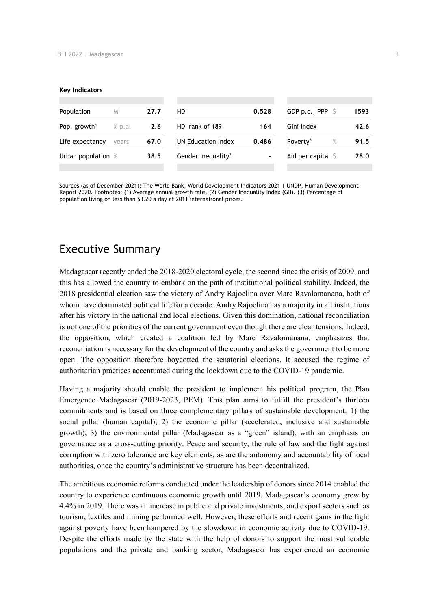#### **Key Indicators**

| Population               | M      | 27.7 | HDI.                           | 0.528          | GDP p.c., PPP $\ S$          | 1593 |
|--------------------------|--------|------|--------------------------------|----------------|------------------------------|------|
| Pop. growth <sup>1</sup> | % p.a. | 2.6  | HDI rank of 189                | 164            | Gini Index                   | 42.6 |
| Life expectancy          | vears  | 67.0 | UN Education Index             | 0.486          | Poverty <sup>3</sup><br>$\%$ | 91.5 |
| Urban population %       |        | 38.5 | Gender inequality <sup>2</sup> | $\blacksquare$ | Aid per capita $\sqrt{5}$    | 28.0 |
|                          |        |      |                                |                |                              |      |

Sources (as of December 2021): The World Bank, World Development Indicators 2021 | UNDP, Human Development Report 2020. Footnotes: (1) Average annual growth rate. (2) Gender Inequality Index (GII). (3) Percentage of population living on less than \$3.20 a day at 2011 international prices.

# Executive Summary

Madagascar recently ended the 2018-2020 electoral cycle, the second since the crisis of 2009, and this has allowed the country to embark on the path of institutional political stability. Indeed, the 2018 presidential election saw the victory of Andry Rajoelina over Marc Ravalomanana, both of whom have dominated political life for a decade. Andry Rajoelina has a majority in all institutions after his victory in the national and local elections. Given this domination, national reconciliation is not one of the priorities of the current government even though there are clear tensions. Indeed, the opposition, which created a coalition led by Marc Ravalomanana, emphasizes that reconciliation is necessary for the development of the country and asks the government to be more open. The opposition therefore boycotted the senatorial elections. It accused the regime of authoritarian practices accentuated during the lockdown due to the COVID-19 pandemic.

Having a majority should enable the president to implement his political program, the Plan Emergence Madagascar (2019-2023, PEM). This plan aims to fulfill the president's thirteen commitments and is based on three complementary pillars of sustainable development: 1) the social pillar (human capital); 2) the economic pillar (accelerated, inclusive and sustainable growth); 3) the environmental pillar (Madagascar as a "green" island), with an emphasis on governance as a cross-cutting priority. Peace and security, the rule of law and the fight against corruption with zero tolerance are key elements, as are the autonomy and accountability of local authorities, once the country's administrative structure has been decentralized.

The ambitious economic reforms conducted under the leadership of donors since 2014 enabled the country to experience continuous economic growth until 2019. Madagascar's economy grew by 4.4% in 2019. There was an increase in public and private investments, and export sectors such as tourism, textiles and mining performed well. However, these efforts and recent gains in the fight against poverty have been hampered by the slowdown in economic activity due to COVID-19. Despite the efforts made by the state with the help of donors to support the most vulnerable populations and the private and banking sector, Madagascar has experienced an economic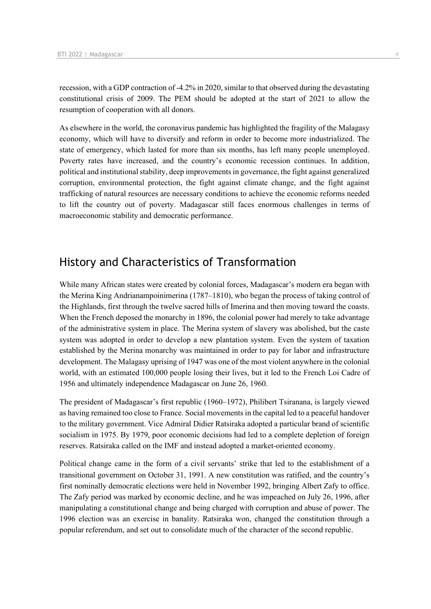recession, with a GDP contraction of -4.2% in 2020, similar to that observed during the devastating constitutional crisis of 2009. The PEM should be adopted at the start of 2021 to allow the resumption of cooperation with all donors.

As elsewhere in the world, the coronavirus pandemic has highlighted the fragility of the Malagasy economy, which will have to diversify and reform in order to become more industrialized. The state of emergency, which lasted for more than six months, has left many people unemployed. Poverty rates have increased, and the country's economic recession continues. In addition, political and institutional stability, deep improvements in governance, the fight against generalized corruption, environmental protection, the fight against climate change, and the fight against trafficking of natural resources are necessary conditions to achieve the economic reforms needed to lift the country out of poverty. Madagascar still faces enormous challenges in terms of macroeconomic stability and democratic performance.

# History and Characteristics of Transformation

While many African states were created by colonial forces, Madagascar's modern era began with the Merina King Andrianampoinimerina (1787–1810), who began the process of taking control of the Highlands, first through the twelve sacred hills of Imerina and then moving toward the coasts. When the French deposed the monarchy in 1896, the colonial power had merely to take advantage of the administrative system in place. The Merina system of slavery was abolished, but the caste system was adopted in order to develop a new plantation system. Even the system of taxation established by the Merina monarchy was maintained in order to pay for labor and infrastructure development. The Malagasy uprising of 1947 was one of the most violent anywhere in the colonial world, with an estimated 100,000 people losing their lives, but it led to the French Loi Cadre of 1956 and ultimately independence Madagascar on June 26, 1960.

The president of Madagascar's first republic (1960–1972), Philibert Tsiranana, is largely viewed as having remained too close to France. Social movements in the capital led to a peaceful handover to the military government. Vice Admiral Didier Ratsiraka adopted a particular brand of scientific socialism in 1975. By 1979, poor economic decisions had led to a complete depletion of foreign reserves. Ratsiraka called on the IMF and instead adopted a market-oriented economy.

Political change came in the form of a civil servants' strike that led to the establishment of a transitional government on October 31, 1991. A new constitution was ratified, and the country's first nominally democratic elections were held in November 1992, bringing Albert Zafy to office. The Zafy period was marked by economic decline, and he was impeached on July 26, 1996, after manipulating a constitutional change and being charged with corruption and abuse of power. The 1996 election was an exercise in banality. Ratsiraka won, changed the constitution through a popular referendum, and set out to consolidate much of the character of the second republic.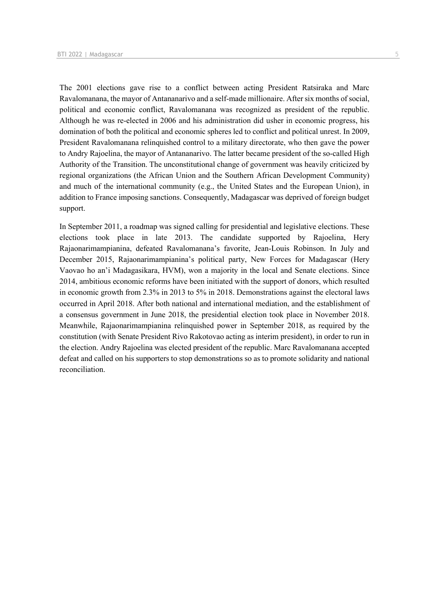The 2001 elections gave rise to a conflict between acting President Ratsiraka and Marc Ravalomanana, the mayor of Antananarivo and a self-made millionaire. After six months of social, political and economic conflict, Ravalomanana was recognized as president of the republic. Although he was re-elected in 2006 and his administration did usher in economic progress, his domination of both the political and economic spheres led to conflict and political unrest. In 2009, President Ravalomanana relinquished control to a military directorate, who then gave the power to Andry Rajoelina, the mayor of Antananarivo. The latter became president of the so-called High Authority of the Transition. The unconstitutional change of government was heavily criticized by regional organizations (the African Union and the Southern African Development Community) and much of the international community (e.g., the United States and the European Union), in addition to France imposing sanctions. Consequently, Madagascar was deprived of foreign budget support.

In September 2011, a roadmap was signed calling for presidential and legislative elections. These elections took place in late 2013. The candidate supported by Rajoelina, Hery Rajaonarimampianina, defeated Ravalomanana's favorite, Jean-Louis Robinson. In July and December 2015, Rajaonarimampianina's political party, New Forces for Madagascar (Hery Vaovao ho an'i Madagasikara, HVM), won a majority in the local and Senate elections. Since 2014, ambitious economic reforms have been initiated with the support of donors, which resulted in economic growth from 2.3% in 2013 to 5% in 2018. Demonstrations against the electoral laws occurred in April 2018. After both national and international mediation, and the establishment of a consensus government in June 2018, the presidential election took place in November 2018. Meanwhile, Rajaonarimampianina relinquished power in September 2018, as required by the constitution (with Senate President Rivo Rakotovao acting as interim president), in order to run in the election. Andry Rajoelina was elected president of the republic. Marc Ravalomanana accepted defeat and called on his supporters to stop demonstrations so as to promote solidarity and national reconciliation.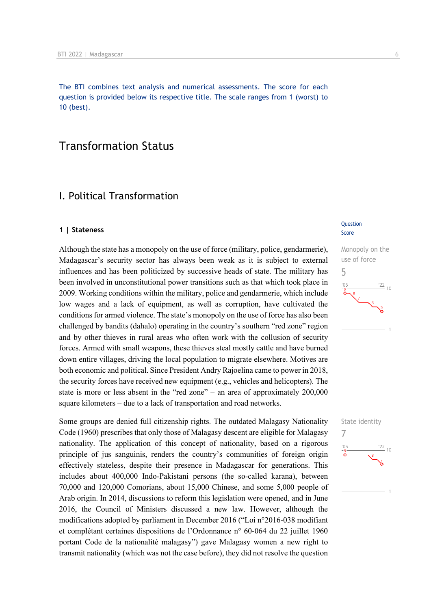The BTI combines text analysis and numerical assessments. The score for each question is provided below its respective title. The scale ranges from 1 (worst) to 10 (best).

# Transformation Status

# I. Political Transformation

#### **1 | Stateness**

Although the state has a monopoly on the use of force (military, police, gendarmerie), Madagascar's security sector has always been weak as it is subject to external influences and has been politicized by successive heads of state. The military has been involved in unconstitutional power transitions such as that which took place in 2009. Working conditions within the military, police and gendarmerie, which include low wages and a lack of equipment, as well as corruption, have cultivated the conditions for armed violence. The state's monopoly on the use of force has also been challenged by bandits (dahalo) operating in the country's southern "red zone" region and by other thieves in rural areas who often work with the collusion of security forces. Armed with small weapons, these thieves steal mostly cattle and have burned down entire villages, driving the local population to migrate elsewhere. Motives are both economic and political. Since President Andry Rajoelina came to power in 2018, the security forces have received new equipment (e.g., vehicles and helicopters). The state is more or less absent in the "red zone" – an area of approximately 200,000 square kilometers – due to a lack of transportation and road networks.

Some groups are denied full citizenship rights. The outdated Malagasy Nationality Code (1960) prescribes that only those of Malagasy descent are eligible for Malagasy nationality. The application of this concept of nationality, based on a rigorous principle of jus sanguinis, renders the country's communities of foreign origin effectively stateless, despite their presence in Madagascar for generations. This includes about 400,000 Indo-Pakistani persons (the so-called karana), between 70,000 and 120,000 Comorians, about 15,000 Chinese, and some 5,000 people of Arab origin. In 2014, discussions to reform this legislation were opened, and in June 2016, the Council of Ministers discussed a new law. However, although the modifications adopted by parliament in December 2016 ("Loi n°2016-038 modifiant et complétant certaines dispositions de l'Ordonnance n° 60-064 du 22 juillet 1960 portant Code de la nationalité malagasy") gave Malagasy women a new right to transmit nationality (which was not the case before), they did not resolve the question

#### **Question** Score



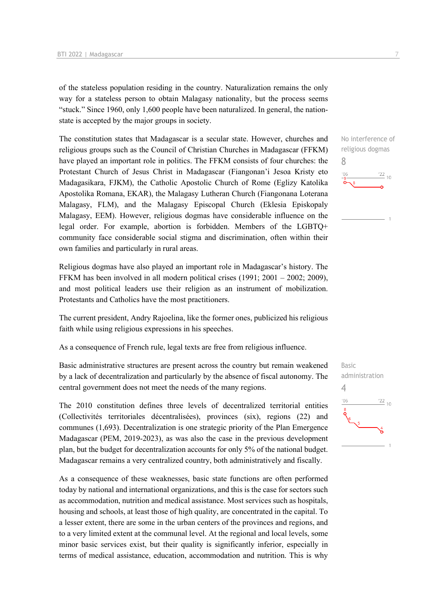of the stateless population residing in the country. Naturalization remains the only way for a stateless person to obtain Malagasy nationality, but the process seems "stuck." Since 1960, only 1,600 people have been naturalized. In general, the nationstate is accepted by the major groups in society.

The constitution states that Madagascar is a secular state. However, churches and religious groups such as the Council of Christian Churches in Madagascar (FFKM) have played an important role in politics. The FFKM consists of four churches: the Protestant Church of Jesus Christ in Madagascar (Fiangonan'i Jesoa Kristy eto Madagasikara, FJKM), the Catholic Apostolic Church of Rome (Eglizy Katolika Apostolika Romana, EKAR), the Malagasy Lutheran Church (Fiangonana Loterana Malagasy, FLM), and the Malagasy Episcopal Church (Eklesia Episkopaly Malagasy, EEM). However, religious dogmas have considerable influence on the legal order. For example, abortion is forbidden. Members of the LGBTQ+ community face considerable social stigma and discrimination, often within their own families and particularly in rural areas.

Religious dogmas have also played an important role in Madagascar's history. The FFKM has been involved in all modern political crises (1991; 2001 – 2002; 2009), and most political leaders use their religion as an instrument of mobilization. Protestants and Catholics have the most practitioners.

The current president, Andry Rajoelina, like the former ones, publicized his religious faith while using religious expressions in his speeches.

As a consequence of French rule, legal texts are free from religious influence.

Basic administrative structures are present across the country but remain weakened by a lack of decentralization and particularly by the absence of fiscal autonomy. The central government does not meet the needs of the many regions.

The 2010 constitution defines three levels of decentralized territorial entities (Collectivités territoriales décentralisées), provinces (six), regions (22) and communes (1,693). Decentralization is one strategic priority of the Plan Emergence Madagascar (PEM, 2019-2023), as was also the case in the previous development plan, but the budget for decentralization accounts for only 5% of the national budget. Madagascar remains a very centralized country, both administratively and fiscally.

As a consequence of these weaknesses, basic state functions are often performed today by national and international organizations, and this is the case for sectors such as accommodation, nutrition and medical assistance. Most services such as hospitals, housing and schools, at least those of high quality, are concentrated in the capital. To a lesser extent, there are some in the urban centers of the provinces and regions, and to a very limited extent at the communal level. At the regional and local levels, some minor basic services exist, but their quality is significantly inferior, especially in terms of medical assistance, education, accommodation and nutrition. This is why



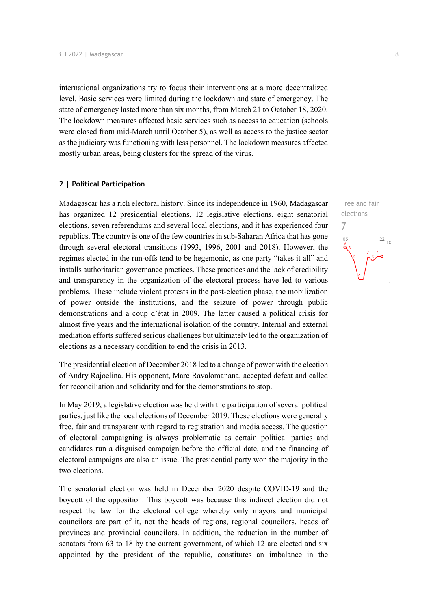international organizations try to focus their interventions at a more decentralized level. Basic services were limited during the lockdown and state of emergency. The state of emergency lasted more than six months, from March 21 to October 18, 2020. The lockdown measures affected basic services such as access to education (schools were closed from mid-March until October 5), as well as access to the justice sector as the judiciary was functioning with less personnel. The lockdown measures affected mostly urban areas, being clusters for the spread of the virus.

#### **2 | Political Participation**

Madagascar has a rich electoral history. Since its independence in 1960, Madagascar has organized 12 presidential elections, 12 legislative elections, eight senatorial elections, seven referendums and several local elections, and it has experienced four republics. The country is one of the few countries in sub-Saharan Africa that has gone through several electoral transitions (1993, 1996, 2001 and 2018). However, the regimes elected in the run-offs tend to be hegemonic, as one party "takes it all" and installs authoritarian governance practices. These practices and the lack of credibility and transparency in the organization of the electoral process have led to various problems. These include violent protests in the post-election phase, the mobilization of power outside the institutions, and the seizure of power through public demonstrations and a coup d'état in 2009. The latter caused a political crisis for almost five years and the international isolation of the country. Internal and external mediation efforts suffered serious challenges but ultimately led to the organization of elections as a necessary condition to end the crisis in 2013.

The presidential election of December 2018 led to a change of power with the election of Andry Rajoelina. His opponent, Marc Ravalomanana, accepted defeat and called for reconciliation and solidarity and for the demonstrations to stop.

In May 2019, a legislative election was held with the participation of several political parties, just like the local elections of December 2019. These elections were generally free, fair and transparent with regard to registration and media access. The question of electoral campaigning is always problematic as certain political parties and candidates run a disguised campaign before the official date, and the financing of electoral campaigns are also an issue. The presidential party won the majority in the two elections.

The senatorial election was held in December 2020 despite COVID-19 and the boycott of the opposition. This boycott was because this indirect election did not respect the law for the electoral college whereby only mayors and municipal councilors are part of it, not the heads of regions, regional councilors, heads of provinces and provincial councilors. In addition, the reduction in the number of senators from 63 to 18 by the current government, of which 12 are elected and six appointed by the president of the republic, constitutes an imbalance in the

Free and fair elections

7

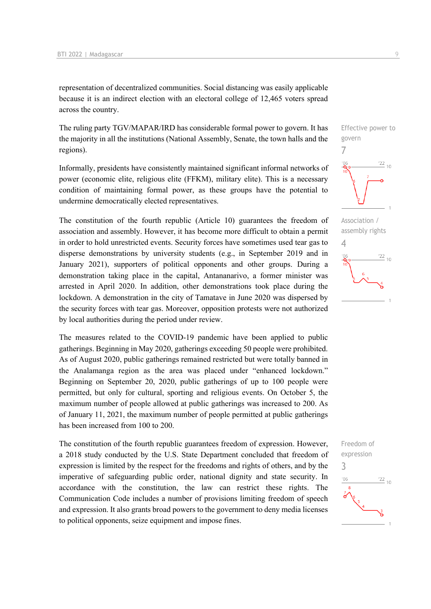representation of decentralized communities. Social distancing was easily applicable because it is an indirect election with an electoral college of 12,465 voters spread across the country.

The ruling party TGV/MAPAR/IRD has considerable formal power to govern. It has the majority in all the institutions (National Assembly, Senate, the town halls and the regions).

Informally, presidents have consistently maintained significant informal networks of power (economic elite, religious elite (FFKM), military elite). This is a necessary condition of maintaining formal power, as these groups have the potential to undermine democratically elected representatives.

The constitution of the fourth republic (Article 10) guarantees the freedom of association and assembly. However, it has become more difficult to obtain a permit in order to hold unrestricted events. Security forces have sometimes used tear gas to disperse demonstrations by university students (e.g., in September 2019 and in January 2021), supporters of political opponents and other groups. During a demonstration taking place in the capital, Antananarivo, a former minister was arrested in April 2020. In addition, other demonstrations took place during the lockdown. A demonstration in the city of Tamatave in June 2020 was dispersed by the security forces with tear gas. Moreover, opposition protests were not authorized by local authorities during the period under review.

The measures related to the COVID-19 pandemic have been applied to public gatherings. Beginning in May 2020, gatherings exceeding 50 people were prohibited. As of August 2020, public gatherings remained restricted but were totally banned in the Analamanga region as the area was placed under "enhanced lockdown." Beginning on September 20, 2020, public gatherings of up to 100 people were permitted, but only for cultural, sporting and religious events. On October 5, the maximum number of people allowed at public gatherings was increased to 200. As of January 11, 2021, the maximum number of people permitted at public gatherings has been increased from 100 to 200.

The constitution of the fourth republic guarantees freedom of expression. However, a 2018 study conducted by the U.S. State Department concluded that freedom of expression is limited by the respect for the freedoms and rights of others, and by the imperative of safeguarding public order, national dignity and state security. In accordance with the constitution, the law can restrict these rights. The Communication Code includes a number of provisions limiting freedom of speech and expression. It also grants broad powers to the government to deny media licenses to political opponents, seize equipment and impose fines.

Effective power to govern 7  $\frac{22}{10}$ 



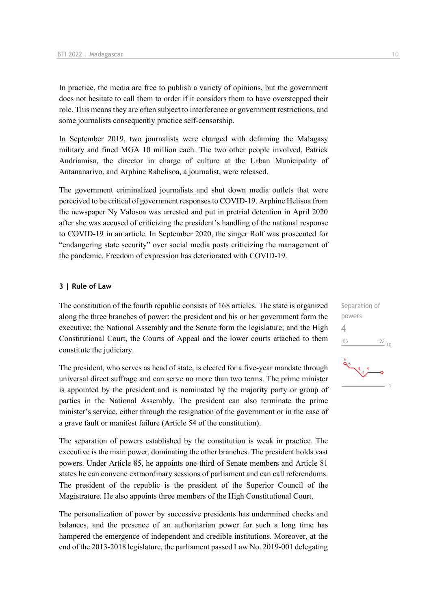In practice, the media are free to publish a variety of opinions, but the government does not hesitate to call them to order if it considers them to have overstepped their role. This means they are often subject to interference or government restrictions, and some journalists consequently practice self-censorship.

In September 2019, two journalists were charged with defaming the Malagasy military and fined MGA 10 million each. The two other people involved, Patrick Andriamisa, the director in charge of culture at the Urban Municipality of Antananarivo, and Arphine Rahelisoa, a journalist, were released.

The government criminalized journalists and shut down media outlets that were perceived to be critical of government responses to COVID-19. Arphine Helisoa from the newspaper Ny Valosoa was arrested and put in pretrial detention in April 2020 after she was accused of criticizing the president's handling of the national response to COVID-19 in an article. In September 2020, the singer Rolf was prosecuted for "endangering state security" over social media posts criticizing the management of the pandemic. Freedom of expression has deteriorated with COVID-19.

## **3 | Rule of Law**

The constitution of the fourth republic consists of 168 articles. The state is organized along the three branches of power: the president and his or her government form the executive; the National Assembly and the Senate form the legislature; and the High Constitutional Court, the Courts of Appeal and the lower courts attached to them constitute the judiciary.

The president, who serves as head of state, is elected for a five-year mandate through universal direct suffrage and can serve no more than two terms. The prime minister is appointed by the president and is nominated by the majority party or group of parties in the National Assembly. The president can also terminate the prime minister's service, either through the resignation of the government or in the case of a grave fault or manifest failure (Article 54 of the constitution).

The separation of powers established by the constitution is weak in practice. The executive is the main power, dominating the other branches. The president holds vast powers. Under Article 85, he appoints one-third of Senate members and Article 81 states he can convene extraordinary sessions of parliament and can call referendums. The president of the republic is the president of the Superior Council of the Magistrature. He also appoints three members of the High Constitutional Court.

The personalization of power by successive presidents has undermined checks and balances, and the presence of an authoritarian power for such a long time has hampered the emergence of independent and credible institutions. Moreover, at the end of the 2013-2018 legislature, the parliament passed Law No. 2019-001 delegating

Separation of powers 4 $\frac{22}{10}$  $^{\prime}06$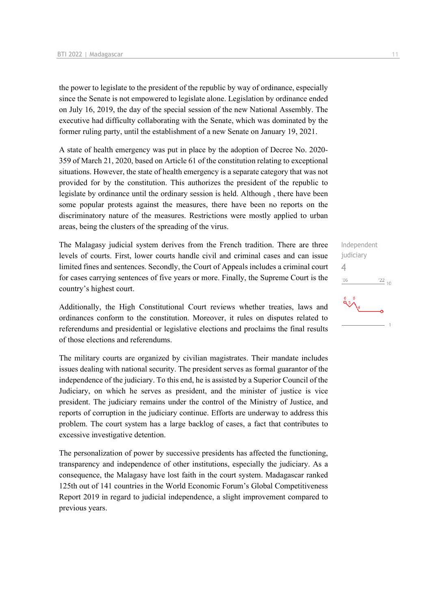the power to legislate to the president of the republic by way of ordinance, especially since the Senate is not empowered to legislate alone. Legislation by ordinance ended on July 16, 2019, the day of the special session of the new National Assembly. The executive had difficulty collaborating with the Senate, which was dominated by the former ruling party, until the establishment of a new Senate on January 19, 2021.

A state of health emergency was put in place by the adoption of Decree No. 2020- 359 of March 21, 2020, based on Article 61 of the constitution relating to exceptional situations. However, the state of health emergency is a separate category that was not provided for by the constitution. This authorizes the president of the republic to legislate by ordinance until the ordinary session is held. Although , there have been some popular protests against the measures, there have been no reports on the discriminatory nature of the measures. Restrictions were mostly applied to urban areas, being the clusters of the spreading of the virus.

The Malagasy judicial system derives from the French tradition. There are three levels of courts. First, lower courts handle civil and criminal cases and can issue limited fines and sentences. Secondly, the Court of Appeals includes a criminal court for cases carrying sentences of five years or more. Finally, the Supreme Court is the country's highest court.

Additionally, the High Constitutional Court reviews whether treaties, laws and ordinances conform to the constitution. Moreover, it rules on disputes related to referendums and presidential or legislative elections and proclaims the final results of those elections and referendums.

The military courts are organized by civilian magistrates. Their mandate includes issues dealing with national security. The president serves as formal guarantor of the independence of the judiciary. To this end, he is assisted by a Superior Council of the Judiciary, on which he serves as president, and the minister of justice is vice president. The judiciary remains under the control of the Ministry of Justice, and reports of corruption in the judiciary continue. Efforts are underway to address this problem. The court system has a large backlog of cases, a fact that contributes to excessive investigative detention.

The personalization of power by successive presidents has affected the functioning, transparency and independence of other institutions, especially the judiciary. As a consequence, the Malagasy have lost faith in the court system. Madagascar ranked 125th out of 141 countries in the World Economic Forum's Global Competitiveness Report 2019 in regard to judicial independence, a slight improvement compared to previous years.

Independent judiciary 4 $106$  $\frac{22}{10}$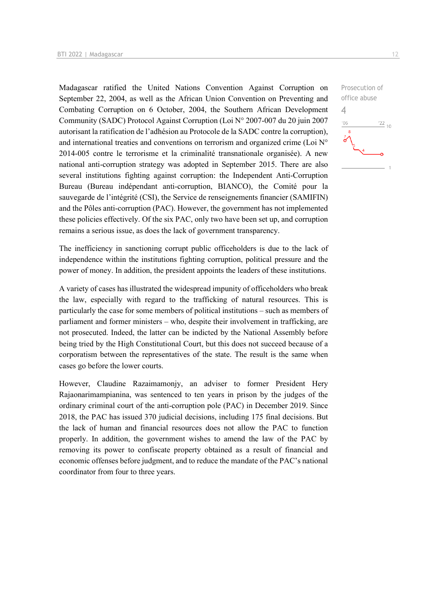Madagascar ratified the United Nations Convention Against Corruption on September 22, 2004, as well as the African Union Convention on Preventing and Combating Corruption on 6 October, 2004, the Southern African Development Community (SADC) Protocol Against Corruption (Loi N° 2007-007 du 20 juin 2007 autorisant la ratification de l'adhésion au Protocole de la SADC contre la corruption), and international treaties and conventions on terrorism and organized crime (Loi N° 2014-005 contre le terrorisme et la criminalité transnationale organisée). A new national anti-corruption strategy was adopted in September 2015. There are also several institutions fighting against corruption: the Independent Anti-Corruption Bureau (Bureau indépendant anti-corruption, BIANCO), the Comité pour la sauvegarde de l'intégrité (CSI), the Service de renseignements financier (SAMIFIN) and the Pôles anti-corruption (PAC). However, the government has not implemented these policies effectively. Of the six PAC, only two have been set up, and corruption remains a serious issue, as does the lack of government transparency.

The inefficiency in sanctioning corrupt public officeholders is due to the lack of independence within the institutions fighting corruption, political pressure and the power of money. In addition, the president appoints the leaders of these institutions.

A variety of cases has illustrated the widespread impunity of officeholders who break the law, especially with regard to the trafficking of natural resources. This is particularly the case for some members of political institutions – such as members of parliament and former ministers – who, despite their involvement in trafficking, are not prosecuted. Indeed, the latter can be indicted by the National Assembly before being tried by the High Constitutional Court, but this does not succeed because of a corporatism between the representatives of the state. The result is the same when cases go before the lower courts.

However, Claudine Razaimamonjy, an adviser to former President Hery Rajaonarimampianina, was sentenced to ten years in prison by the judges of the ordinary criminal court of the anti-corruption pole (PAC) in December 2019. Since 2018, the PAC has issued 370 judicial decisions, including 175 final decisions. But the lack of human and financial resources does not allow the PAC to function properly. In addition, the government wishes to amend the law of the PAC by removing its power to confiscate property obtained as a result of financial and economic offenses before judgment, and to reduce the mandate of the PAC's national coordinator from four to three years.

Prosecution of office abuse 4 $-06$  $\frac{22}{10}$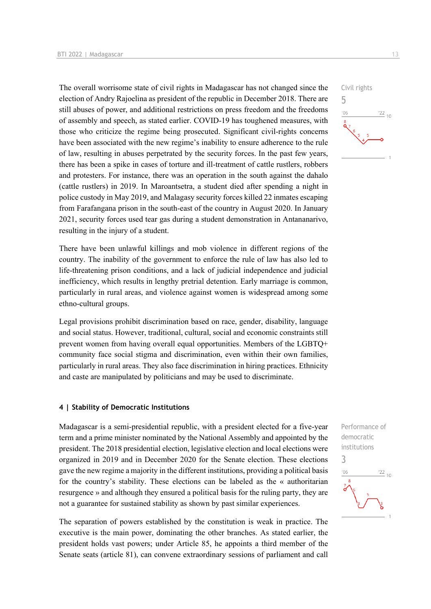The overall worrisome state of civil rights in Madagascar has not changed since the election of Andry Rajoelina as president of the republic in December 2018. There are still abuses of power, and additional restrictions on press freedom and the freedoms of assembly and speech, as stated earlier. COVID-19 has toughened measures, with those who criticize the regime being prosecuted. Significant civil-rights concerns have been associated with the new regime's inability to ensure adherence to the rule of law, resulting in abuses perpetrated by the security forces. In the past few years, there has been a spike in cases of torture and ill-treatment of cattle rustlers, robbers and protesters. For instance, there was an operation in the south against the dahalo (cattle rustlers) in 2019. In Maroantsetra, a student died after spending a night in police custody in May 2019, and Malagasy security forces killed 22 inmates escaping from Farafangana prison in the south-east of the country in August 2020. In January 2021, security forces used tear gas during a student demonstration in Antananarivo, resulting in the injury of a student.

There have been unlawful killings and mob violence in different regions of the country. The inability of the government to enforce the rule of law has also led to life-threatening prison conditions, and a lack of judicial independence and judicial inefficiency, which results in lengthy pretrial detention. Early marriage is common, particularly in rural areas, and violence against women is widespread among some ethno-cultural groups.

Legal provisions prohibit discrimination based on race, gender, disability, language and social status. However, traditional, cultural, social and economic constraints still prevent women from having overall equal opportunities. Members of the LGBTQ+ community face social stigma and discrimination, even within their own families, particularly in rural areas. They also face discrimination in hiring practices. Ethnicity and caste are manipulated by politicians and may be used to discriminate.

#### **4 | Stability of Democratic Institutions**

Madagascar is a semi-presidential republic, with a president elected for a five-year term and a prime minister nominated by the National Assembly and appointed by the president. The 2018 presidential election, legislative election and local elections were organized in 2019 and in December 2020 for the Senate election. These elections gave the new regime a majority in the different institutions, providing a political basis for the country's stability. These elections can be labeled as the « authoritarian resurgence » and although they ensured a political basis for the ruling party, they are not a guarantee for sustained stability as shown by past similar experiences.

The separation of powers established by the constitution is weak in practice. The executive is the main power, dominating the other branches. As stated earlier, the president holds vast powers; under Article 85, he appoints a third member of the Senate seats (article 81), can convene extraordinary sessions of parliament and call



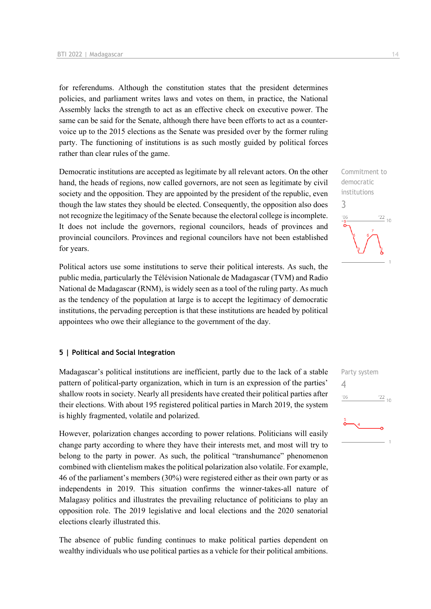for referendums. Although the constitution states that the president determines policies, and parliament writes laws and votes on them, in practice, the National Assembly lacks the strength to act as an effective check on executive power. The same can be said for the Senate, although there have been efforts to act as a countervoice up to the 2015 elections as the Senate was presided over by the former ruling party. The functioning of institutions is as such mostly guided by political forces rather than clear rules of the game.

Democratic institutions are accepted as legitimate by all relevant actors. On the other hand, the heads of regions, now called governors, are not seen as legitimate by civil society and the opposition. They are appointed by the president of the republic, even though the law states they should be elected. Consequently, the opposition also does not recognize the legitimacy of the Senate because the electoral college is incomplete. It does not include the governors, regional councilors, heads of provinces and provincial councilors. Provinces and regional councilors have not been established for years.

Political actors use some institutions to serve their political interests. As such, the public media, particularly the Télévision Nationale de Madagascar (TVM) and Radio National de Madagascar (RNM), is widely seen as a tool of the ruling party. As much as the tendency of the population at large is to accept the legitimacy of democratic institutions, the pervading perception is that these institutions are headed by political appointees who owe their allegiance to the government of the day.

## **5 | Political and Social Integration**

Madagascar's political institutions are inefficient, partly due to the lack of a stable pattern of political-party organization, which in turn is an expression of the parties' shallow roots in society. Nearly all presidents have created their political parties after their elections. With about 195 registered political parties in March 2019, the system is highly fragmented, volatile and polarized.

However, polarization changes according to power relations. Politicians will easily change party according to where they have their interests met, and most will try to belong to the party in power. As such, the political "transhumance" phenomenon combined with clientelism makes the political polarization also volatile. For example, 46 of the parliament's members (30%) were registered either as their own party or as independents in 2019. This situation confirms the winner-takes-all nature of Malagasy politics and illustrates the prevailing reluctance of politicians to play an opposition role. The 2019 legislative and local elections and the 2020 senatorial elections clearly illustrated this.

The absence of public funding continues to make political parties dependent on wealthy individuals who use political parties as a vehicle for their political ambitions. Commitment to democratic institutions 3  $\frac{22}{10}$ 'OF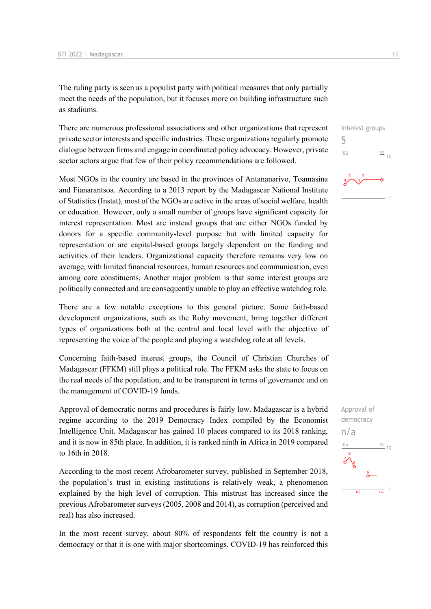The ruling party is seen as a populist party with political measures that only partially meet the needs of the population, but it focuses more on building infrastructure such as stadiums.

There are numerous professional associations and other organizations that represent private sector interests and specific industries. These organizations regularly promote dialogue between firms and engage in coordinated policy advocacy. However, private sector actors argue that few of their policy recommendations are followed.

Most NGOs in the country are based in the provinces of Antananarivo, Toamasina and Fianarantsoa. According to a 2013 report by the Madagascar National Institute of Statistics (Instat), most of the NGOs are active in the areas of social welfare, health or education. However, only a small number of groups have significant capacity for interest representation. Most are instead groups that are either NGOs funded by donors for a specific community-level purpose but with limited capacity for representation or are capital-based groups largely dependent on the funding and activities of their leaders. Organizational capacity therefore remains very low on average, with limited financial resources, human resources and communication, even among core constituents. Another major problem is that some interest groups are politically connected and are consequently unable to play an effective watchdog role.

There are a few notable exceptions to this general picture. Some faith-based development organizations, such as the Rohy movement, bring together different types of organizations both at the central and local level with the objective of representing the voice of the people and playing a watchdog role at all levels.

Concerning faith-based interest groups, the Council of Christian Churches of Madagascar (FFKM) still plays a political role. The FFKM asks the state to focus on the real needs of the population, and to be transparent in terms of governance and on the management of COVID-19 funds.

Approval of democratic norms and procedures is fairly low. Madagascar is a hybrid regime according to the 2019 Democracy Index compiled by the Economist Intelligence Unit. Madagascar has gained 10 places compared to its 2018 ranking, and it is now in 85th place. In addition, it is ranked ninth in Africa in 2019 compared to 16th in 2018.

According to the most recent Afrobarometer survey, published in September 2018, the population's trust in existing institutions is relatively weak, a phenomenon explained by the high level of corruption. This mistrust has increased since the previous Afrobarometer surveys (2005, 2008 and 2014), as corruption (perceived and real) has also increased.

In the most recent survey, about 80% of respondents felt the country is not a democracy or that it is one with major shortcomings. COVID-19 has reinforced this



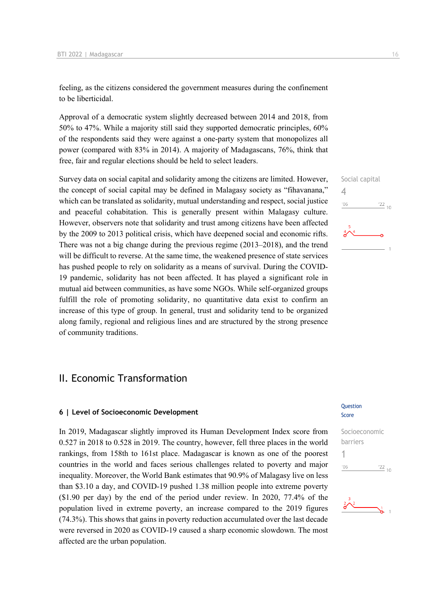feeling, as the citizens considered the government measures during the confinement to be liberticidal.

Approval of a democratic system slightly decreased between 2014 and 2018, from 50% to 47%. While a majority still said they supported democratic principles, 60% of the respondents said they were against a one-party system that monopolizes all power (compared with 83% in 2014). A majority of Madagascans, 76%, think that free, fair and regular elections should be held to select leaders.

Survey data on social capital and solidarity among the citizens are limited. However, the concept of social capital may be defined in Malagasy society as "fihavanana," which can be translated as solidarity, mutual understanding and respect, social justice and peaceful cohabitation. This is generally present within Malagasy culture. However, observers note that solidarity and trust among citizens have been affected by the 2009 to 2013 political crisis, which have deepened social and economic rifts. There was not a big change during the previous regime (2013–2018), and the trend will be difficult to reverse. At the same time, the weakened presence of state services has pushed people to rely on solidarity as a means of survival. During the COVID-19 pandemic, solidarity has not been affected. It has played a significant role in mutual aid between communities, as have some NGOs. While self-organized groups fulfill the role of promoting solidarity, no quantitative data exist to confirm an increase of this type of group. In general, trust and solidarity tend to be organized along family, regional and religious lines and are structured by the strong presence of community traditions.

# II. Economic Transformation

### **6 | Level of Socioeconomic Development**

In 2019, Madagascar slightly improved its Human Development Index score from 0.527 in 2018 to 0.528 in 2019. The country, however, fell three places in the world rankings, from 158th to 161st place. Madagascar is known as one of the poorest countries in the world and faces serious challenges related to poverty and major inequality. Moreover, the World Bank estimates that 90.9% of Malagasy live on less than \$3.10 a day, and COVID-19 pushed 1.38 million people into extreme poverty (\$1.90 per day) by the end of the period under review. In 2020, 77.4% of the population lived in extreme poverty, an increase compared to the 2019 figures (74.3%). This shows that gains in poverty reduction accumulated over the last decade were reversed in 2020 as COVID-19 caused a sharp economic slowdown. The most affected are the urban population.

#### Question Score



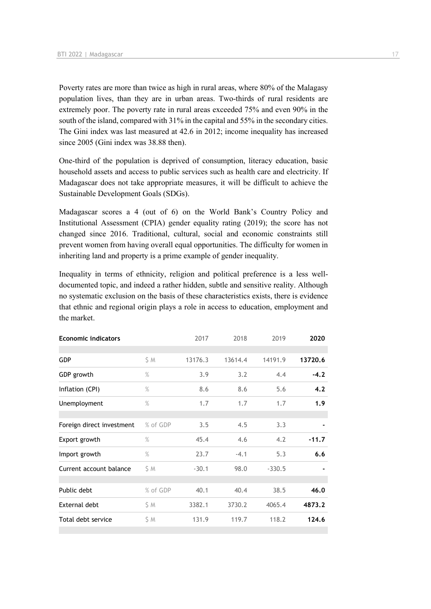Poverty rates are more than twice as high in rural areas, where 80% of the Malagasy population lives, than they are in urban areas. Two-thirds of rural residents are extremely poor. The poverty rate in rural areas exceeded 75% and even 90% in the south of the island, compared with 31% in the capital and 55% in the secondary cities. The Gini index was last measured at 42.6 in 2012; income inequality has increased since 2005 (Gini index was 38.88 then).

One-third of the population is deprived of consumption, literacy education, basic household assets and access to public services such as health care and electricity. If Madagascar does not take appropriate measures, it will be difficult to achieve the Sustainable Development Goals (SDGs).

Madagascar scores a 4 (out of 6) on the World Bank's Country Policy and Institutional Assessment (CPIA) gender equality rating (2019); the score has not changed since 2016. Traditional, cultural, social and economic constraints still prevent women from having overall equal opportunities. The difficulty for women in inheriting land and property is a prime example of gender inequality.

Inequality in terms of ethnicity, religion and political preference is a less welldocumented topic, and indeed a rather hidden, subtle and sensitive reality. Although no systematic exclusion on the basis of these characteristics exists, there is evidence that ethnic and regional origin plays a role in access to education, employment and the market.

| <b>Economic indicators</b> |          | 2017    | 2018    | 2019     | 2020    |
|----------------------------|----------|---------|---------|----------|---------|
|                            |          |         |         |          |         |
| <b>GDP</b>                 | \$ M     | 13176.3 | 13614.4 | 14191.9  | 13720.6 |
| GDP growth                 | $\%$     | 3.9     | 3.2     | 4.4      | $-4.2$  |
| Inflation (CPI)            | $\%$     | 8.6     | 8.6     | 5.6      | 4.2     |
| Unemployment               | $\%$     | 1.7     | 1.7     | 1.7      | 1.9     |
|                            |          |         |         |          |         |
| Foreign direct investment  | % of GDP | 3.5     | 4.5     | 3.3      |         |
| Export growth              | $\%$     | 45.4    | 4.6     | 4.2      | $-11.7$ |
| Import growth              | $\%$     | 23.7    | $-4.1$  | 5.3      | 6.6     |
| Current account balance    | SΜ       | $-30.1$ | 98.0    | $-330.5$ |         |
|                            |          |         |         |          |         |
| Public debt                | % of GDP | 40.1    | 40.4    | 38.5     | 46.0    |
| External debt              | \$ M     | 3382.1  | 3730.2  | 4065.4   | 4873.2  |
| Total debt service         | \$ M     | 131.9   | 119.7   | 118.2    | 124.6   |
|                            |          |         |         |          |         |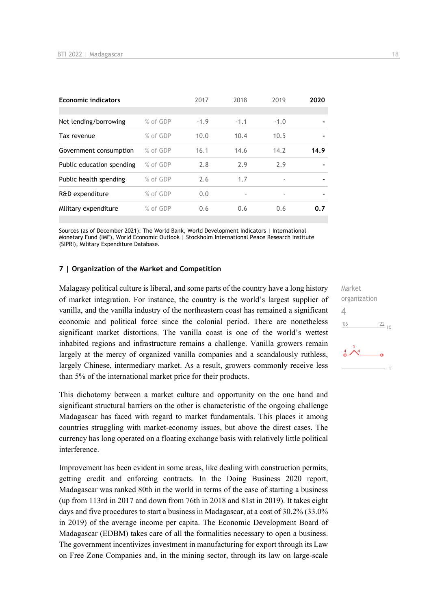| <b>Economic indicators</b> |          | 2017   | 2018   | 2019   | 2020           |
|----------------------------|----------|--------|--------|--------|----------------|
|                            |          |        |        |        |                |
| Net lending/borrowing      | % of GDP | $-1.9$ | $-1.1$ | $-1.0$ |                |
| Tax revenue                | % of GDP | 10.0   | 10.4   | 10.5   |                |
| Government consumption     | % of GDP | 16.1   | 14.6   | 14.2   | 14.9           |
| Public education spending  | % of GDP | 2.8    | 2.9    | 2.9    |                |
| Public health spending     | % of GDP | 2.6    | 1.7    | ۰      | $\blacksquare$ |
| R&D expenditure            | % of GDP | 0.0    |        | ٠      | $\blacksquare$ |
| Military expenditure       | % of GDP | 0.6    | 0.6    | 0.6    | 0.7            |

Sources (as of December 2021): The World Bank, World Development Indicators | International Monetary Fund (IMF), World Economic Outlook | Stockholm International Peace Research Institute (SIPRI), Military Expenditure Database.

#### **7 | Organization of the Market and Competition**

Malagasy political culture is liberal, and some parts of the country have a long history of market integration. For instance, the country is the world's largest supplier of vanilla, and the vanilla industry of the northeastern coast has remained a significant economic and political force since the colonial period. There are nonetheless significant market distortions. The vanilla coast is one of the world's wettest inhabited regions and infrastructure remains a challenge. Vanilla growers remain largely at the mercy of organized vanilla companies and a scandalously ruthless, largely Chinese, intermediary market. As a result, growers commonly receive less than 5% of the international market price for their products.

This dichotomy between a market culture and opportunity on the one hand and significant structural barriers on the other is characteristic of the ongoing challenge Madagascar has faced with regard to market fundamentals. This places it among countries struggling with market-economy issues, but above the direst cases. The currency has long operated on a floating exchange basis with relatively little political interference.

Improvement has been evident in some areas, like dealing with construction permits, getting credit and enforcing contracts. In the Doing Business 2020 report, Madagascar was ranked 80th in the world in terms of the ease of starting a business (up from 113rd in 2017 and down from 76th in 2018 and 81st in 2019). It takes eight days and five procedures to start a business in Madagascar, at a cost of 30.2% (33.0% in 2019) of the average income per capita. The Economic Development Board of Madagascar (EDBM) takes care of all the formalities necessary to open a business. The government incentivizes investment in manufacturing for export through its Law on Free Zone Companies and, in the mining sector, through its law on large-scale

Market organization 4 $-06$  $\frac{22}{10}$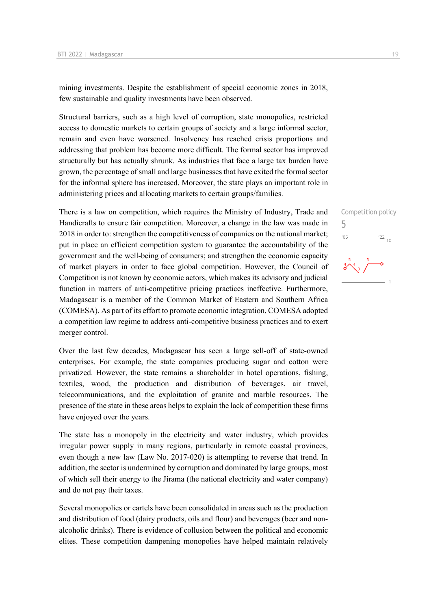mining investments. Despite the establishment of special economic zones in 2018, few sustainable and quality investments have been observed.

Structural barriers, such as a high level of corruption, state monopolies, restricted access to domestic markets to certain groups of society and a large informal sector, remain and even have worsened. Insolvency has reached crisis proportions and addressing that problem has become more difficult. The formal sector has improved structurally but has actually shrunk. As industries that face a large tax burden have grown, the percentage of small and large businesses that have exited the formal sector for the informal sphere has increased. Moreover, the state plays an important role in administering prices and allocating markets to certain groups/families.

There is a law on competition, which requires the Ministry of Industry, Trade and Handicrafts to ensure fair competition. Moreover, a change in the law was made in 2018 in order to: strengthen the competitiveness of companies on the national market; put in place an efficient competition system to guarantee the accountability of the government and the well-being of consumers; and strengthen the economic capacity of market players in order to face global competition. However, the Council of Competition is not known by economic actors, which makes its advisory and judicial function in matters of anti-competitive pricing practices ineffective. Furthermore, Madagascar is a member of the Common Market of Eastern and Southern Africa (COMESA). As part of its effort to promote economic integration, COMESA adopted a competition law regime to address anti-competitive business practices and to exert merger control.

Over the last few decades, Madagascar has seen a large sell-off of state-owned enterprises. For example, the state companies producing sugar and cotton were privatized. However, the state remains a shareholder in hotel operations, fishing, textiles, wood, the production and distribution of beverages, air travel, telecommunications, and the exploitation of granite and marble resources. The presence of the state in these areas helps to explain the lack of competition these firms have enjoyed over the years.

The state has a monopoly in the electricity and water industry, which provides irregular power supply in many regions, particularly in remote coastal provinces, even though a new law (Law No. 2017-020) is attempting to reverse that trend. In addition, the sector is undermined by corruption and dominated by large groups, most of which sell their energy to the Jirama (the national electricity and water company) and do not pay their taxes.

Several monopolies or cartels have been consolidated in areas such as the production and distribution of food (dairy products, oils and flour) and beverages (beer and nonalcoholic drinks). There is evidence of collusion between the political and economic elites. These competition dampening monopolies have helped maintain relatively Competition policy

 $\frac{22}{10}$ 

5

 $06'$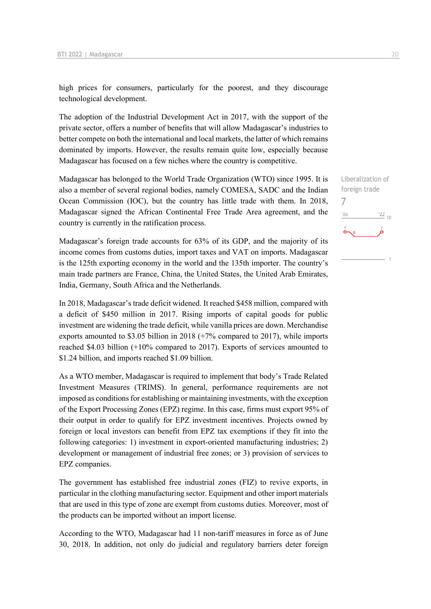high prices for consumers, particularly for the poorest, and they discourage technological development.

The adoption of the Industrial Development Act in 2017, with the support of the private sector, offers a number of benefits that will allow Madagascar's industries to better compete on both the international and local markets, the latter of which remains dominated by imports. However, the results remain quite low, especially because Madagascar has focused on a few niches where the country is competitive.

Madagascar has belonged to the World Trade Organization (WTO) since 1995. It is also a member of several regional bodies, namely COMESA, SADC and the Indian Ocean Commission (IOC), but the country has little trade with them. In 2018, Madagascar signed the African Continental Free Trade Area agreement, and the country is currently in the ratification process.

Madagascar's foreign trade accounts for 63% of its GDP, and the majority of its income comes from customs duties, import taxes and VAT on imports. Madagascar is the 125th exporting economy in the world and the 135th importer. The country's main trade partners are France, China, the United States, the United Arab Emirates, India, Germany, South Africa and the Netherlands.

In 2018, Madagascar's trade deficit widened. It reached \$458 million, compared with a deficit of \$450 million in 2017. Rising imports of capital goods for public investment are widening the trade deficit, while vanilla prices are down. Merchandise exports amounted to \$3.05 billion in 2018 (+7% compared to 2017), while imports reached \$4.03 billion (+10% compared to 2017). Exports of services amounted to \$1.24 billion, and imports reached \$1.09 billion.

As a WTO member, Madagascar is required to implement that body's Trade Related Investment Measures (TRIMS). In general, performance requirements are not imposed as conditions for establishing or maintaining investments, with the exception of the Export Processing Zones (EPZ) regime. In this case, firms must export 95% of their output in order to qualify for EPZ investment incentives. Projects owned by foreign or local investors can benefit from EPZ tax exemptions if they fit into the following categories: 1) investment in export-oriented manufacturing industries; 2) development or management of industrial free zones; or 3) provision of services to EPZ companies.

The government has established free industrial zones (FIZ) to revive exports, in particular in the clothing manufacturing sector. Equipment and other import materials that are used in this type of zone are exempt from customs duties. Moreover, most of the products can be imported without an import license.

According to the WTO, Madagascar had 11 non-tariff measures in force as of June 30, 2018. In addition, not only do judicial and regulatory barriers deter foreign Liberalization of foreign trade 7 $106$  $\frac{22}{10}$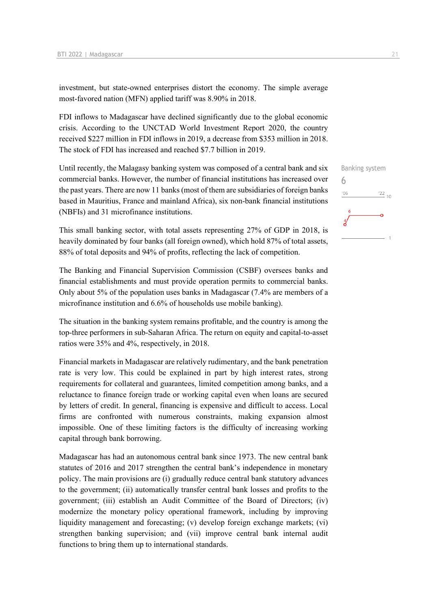investment, but state-owned enterprises distort the economy. The simple average most-favored nation (MFN) applied tariff was 8.90% in 2018.

FDI inflows to Madagascar have declined significantly due to the global economic crisis. According to the UNCTAD World Investment Report 2020, the country received \$227 million in FDI inflows in 2019, a decrease from \$353 million in 2018. The stock of FDI has increased and reached \$7.7 billion in 2019.

Until recently, the Malagasy banking system was composed of a central bank and six commercial banks. However, the number of financial institutions has increased over the past years. There are now 11 banks (most of them are subsidiaries of foreign banks based in Mauritius, France and mainland Africa), six non-bank financial institutions (NBFIs) and 31 microfinance institutions.

This small banking sector, with total assets representing 27% of GDP in 2018, is heavily dominated by four banks (all foreign owned), which hold 87% of total assets, 88% of total deposits and 94% of profits, reflecting the lack of competition.

The Banking and Financial Supervision Commission (CSBF) oversees banks and financial establishments and must provide operation permits to commercial banks. Only about 5% of the population uses banks in Madagascar (7.4% are members of a microfinance institution and 6.6% of households use mobile banking).

The situation in the banking system remains profitable, and the country is among the top-three performers in sub-Saharan Africa. The return on equity and capital-to-asset ratios were 35% and 4%, respectively, in 2018.

Financial markets in Madagascar are relatively rudimentary, and the bank penetration rate is very low. This could be explained in part by high interest rates, strong requirements for collateral and guarantees, limited competition among banks, and a reluctance to finance foreign trade or working capital even when loans are secured by letters of credit. In general, financing is expensive and difficult to access. Local firms are confronted with numerous constraints, making expansion almost impossible. One of these limiting factors is the difficulty of increasing working capital through bank borrowing.

Madagascar has had an autonomous central bank since 1973. The new central bank statutes of 2016 and 2017 strengthen the central bank's independence in monetary policy. The main provisions are (i) gradually reduce central bank statutory advances to the government; (ii) automatically transfer central bank losses and profits to the government; (iii) establish an Audit Committee of the Board of Directors; (iv) modernize the monetary policy operational framework, including by improving liquidity management and forecasting; (v) develop foreign exchange markets; (vi) strengthen banking supervision; and (vii) improve central bank internal audit functions to bring them up to international standards.

6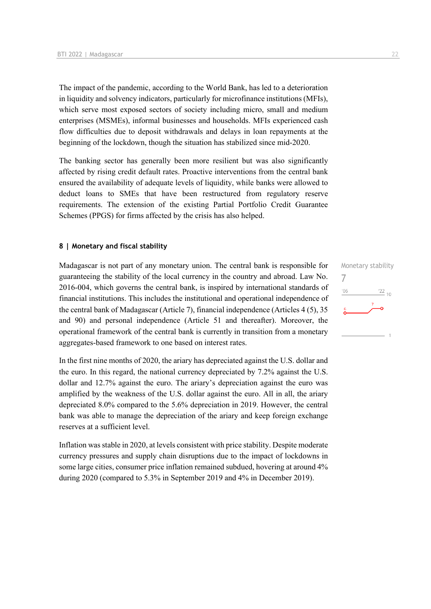The impact of the pandemic, according to the World Bank, has led to a deterioration in liquidity and solvency indicators, particularly for microfinance institutions (MFIs), which serve most exposed sectors of society including micro, small and medium enterprises (MSMEs), informal businesses and households. MFIs experienced cash flow difficulties due to deposit withdrawals and delays in loan repayments at the beginning of the lockdown, though the situation has stabilized since mid-2020.

The banking sector has generally been more resilient but was also significantly affected by rising credit default rates. Proactive interventions from the central bank ensured the availability of adequate levels of liquidity, while banks were allowed to deduct loans to SMEs that have been restructured from regulatory reserve requirements. The extension of the existing Partial Portfolio Credit Guarantee Schemes (PPGS) for firms affected by the crisis has also helped.

## **8 | Monetary and fiscal stability**

Madagascar is not part of any monetary union. The central bank is responsible for guaranteeing the stability of the local currency in the country and abroad. Law No. 2016-004, which governs the central bank, is inspired by international standards of financial institutions. This includes the institutional and operational independence of the central bank of Madagascar (Article 7), financial independence (Articles 4 (5), 35 and 90) and personal independence (Article 51 and thereafter). Moreover, the operational framework of the central bank is currently in transition from a monetary aggregates-based framework to one based on interest rates.

In the first nine months of 2020, the ariary has depreciated against the U.S. dollar and the euro. In this regard, the national currency depreciated by 7.2% against the U.S. dollar and 12.7% against the euro. The ariary's depreciation against the euro was amplified by the weakness of the U.S. dollar against the euro. All in all, the ariary depreciated 8.0% compared to the 5.6% depreciation in 2019. However, the central bank was able to manage the depreciation of the ariary and keep foreign exchange reserves at a sufficient level.

Inflation was stable in 2020, at levels consistent with price stability. Despite moderate currency pressures and supply chain disruptions due to the impact of lockdowns in some large cities, consumer price inflation remained subdued, hovering at around 4% during 2020 (compared to 5.3% in September 2019 and 4% in December 2019).

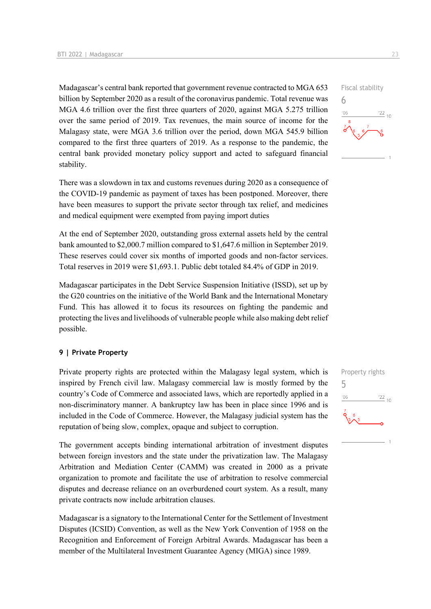Madagascar's central bank reported that government revenue contracted to MGA 653 billion by September 2020 as a result of the coronavirus pandemic. Total revenue was MGA 4.6 trillion over the first three quarters of 2020, against MGA 5.275 trillion over the same period of 2019. Tax revenues, the main source of income for the Malagasy state, were MGA 3.6 trillion over the period, down MGA 545.9 billion compared to the first three quarters of 2019. As a response to the pandemic, the central bank provided monetary policy support and acted to safeguard financial stability.

There was a slowdown in tax and customs revenues during 2020 as a consequence of the COVID-19 pandemic as payment of taxes has been postponed. Moreover, there have been measures to support the private sector through tax relief, and medicines and medical equipment were exempted from paying import duties

At the end of September 2020, outstanding gross external assets held by the central bank amounted to \$2,000.7 million compared to \$1,647.6 million in September 2019. These reserves could cover six months of imported goods and non-factor services. Total reserves in 2019 were \$1,693.1. Public debt totaled 84.4% of GDP in 2019.

Madagascar participates in the Debt Service Suspension Initiative (ISSD), set up by the G20 countries on the initiative of the World Bank and the International Monetary Fund. This has allowed it to focus its resources on fighting the pandemic and protecting the lives and livelihoods of vulnerable people while also making debt relief possible.

## **9 | Private Property**

Private property rights are protected within the Malagasy legal system, which is inspired by French civil law. Malagasy commercial law is mostly formed by the country's Code of Commerce and associated laws, which are reportedly applied in a non-discriminatory manner. A bankruptcy law has been in place since 1996 and is included in the Code of Commerce. However, the Malagasy judicial system has the reputation of being slow, complex, opaque and subject to corruption.

The government accepts binding international arbitration of investment disputes between foreign investors and the state under the privatization law. The Malagasy Arbitration and Mediation Center (CAMM) was created in 2000 as a private organization to promote and facilitate the use of arbitration to resolve commercial disputes and decrease reliance on an overburdened court system. As a result, many private contracts now include arbitration clauses.

Madagascar is a signatory to the International Center for the Settlement of Investment Disputes (ICSID) Convention, as well as the New York Convention of 1958 on the Recognition and Enforcement of Foreign Arbitral Awards. Madagascar has been a member of the Multilateral Investment Guarantee Agency (MIGA) since 1989.



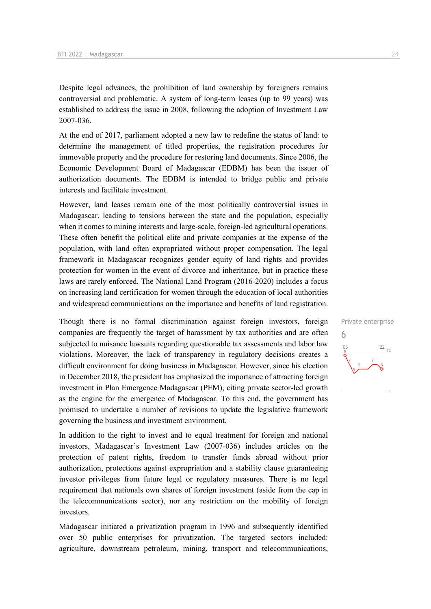Despite legal advances, the prohibition of land ownership by foreigners remains controversial and problematic. A system of long-term leases (up to 99 years) was established to address the issue in 2008, following the adoption of Investment Law 2007-036.

At the end of 2017, parliament adopted a new law to redefine the status of land: to determine the management of titled properties, the registration procedures for immovable property and the procedure for restoring land documents. Since 2006, the Economic Development Board of Madagascar (EDBM) has been the issuer of authorization documents. The EDBM is intended to bridge public and private interests and facilitate investment.

However, land leases remain one of the most politically controversial issues in Madagascar, leading to tensions between the state and the population, especially when it comes to mining interests and large-scale, foreign-led agricultural operations. These often benefit the political elite and private companies at the expense of the population, with land often expropriated without proper compensation. The legal framework in Madagascar recognizes gender equity of land rights and provides protection for women in the event of divorce and inheritance, but in practice these laws are rarely enforced. The National Land Program (2016-2020) includes a focus on increasing land certification for women through the education of local authorities and widespread communications on the importance and benefits of land registration.

Though there is no formal discrimination against foreign investors, foreign companies are frequently the target of harassment by tax authorities and are often subjected to nuisance lawsuits regarding questionable tax assessments and labor law violations. Moreover, the lack of transparency in regulatory decisions creates a difficult environment for doing business in Madagascar. However, since his election in December 2018, the president has emphasized the importance of attracting foreign investment in Plan Emergence Madagascar (PEM), citing private sector-led growth as the engine for the emergence of Madagascar. To this end, the government has promised to undertake a number of revisions to update the legislative framework governing the business and investment environment.

In addition to the right to invest and to equal treatment for foreign and national investors, Madagascar's Investment Law (2007-036) includes articles on the protection of patent rights, freedom to transfer funds abroad without prior authorization, protections against expropriation and a stability clause guaranteeing investor privileges from future legal or regulatory measures. There is no legal requirement that nationals own shares of foreign investment (aside from the cap in the telecommunications sector), nor any restriction on the mobility of foreign investors.

Madagascar initiated a privatization program in 1996 and subsequently identified over 50 public enterprises for privatization. The targeted sectors included: agriculture, downstream petroleum, mining, transport and telecommunications,

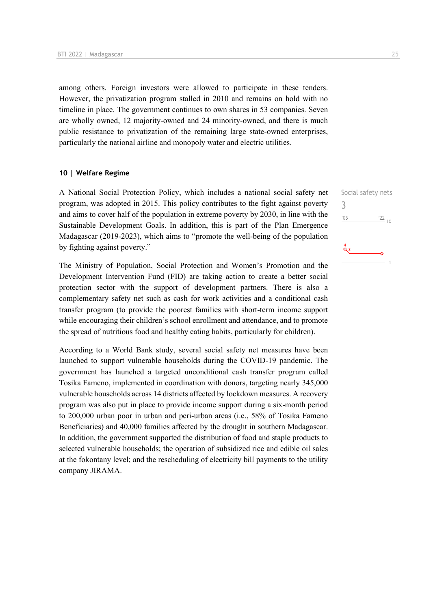among others. Foreign investors were allowed to participate in these tenders. However, the privatization program stalled in 2010 and remains on hold with no timeline in place. The government continues to own shares in 53 companies. Seven are wholly owned, 12 majority-owned and 24 minority-owned, and there is much public resistance to privatization of the remaining large state-owned enterprises, particularly the national airline and monopoly water and electric utilities.

## **10 | Welfare Regime**

A National Social Protection Policy, which includes a national social safety net program, was adopted in 2015. This policy contributes to the fight against poverty and aims to cover half of the population in extreme poverty by 2030, in line with the Sustainable Development Goals. In addition, this is part of the Plan Emergence Madagascar (2019-2023), which aims to "promote the well-being of the population by fighting against poverty."

The Ministry of Population, Social Protection and Women's Promotion and the Development Intervention Fund (FID) are taking action to create a better social protection sector with the support of development partners. There is also a complementary safety net such as cash for work activities and a conditional cash transfer program (to provide the poorest families with short-term income support while encouraging their children's school enrollment and attendance, and to promote the spread of nutritious food and healthy eating habits, particularly for children).

According to a World Bank study, several social safety net measures have been launched to support vulnerable households during the COVID-19 pandemic. The government has launched a targeted unconditional cash transfer program called Tosika Fameno, implemented in coordination with donors, targeting nearly 345,000 vulnerable households across 14 districts affected by lockdown measures. A recovery program was also put in place to provide income support during a six-month period to 200,000 urban poor in urban and peri-urban areas (i.e., 58% of Tosika Fameno Beneficiaries) and 40,000 families affected by the drought in southern Madagascar. In addition, the government supported the distribution of food and staple products to selected vulnerable households; the operation of subsidized rice and edible oil sales at the fokontany level; and the rescheduling of electricity bill payments to the utility company JIRAMA.

Social safety nets 3 $\frac{22}{10}$  $06'$  $\tilde{\mathbf{Q}}_3$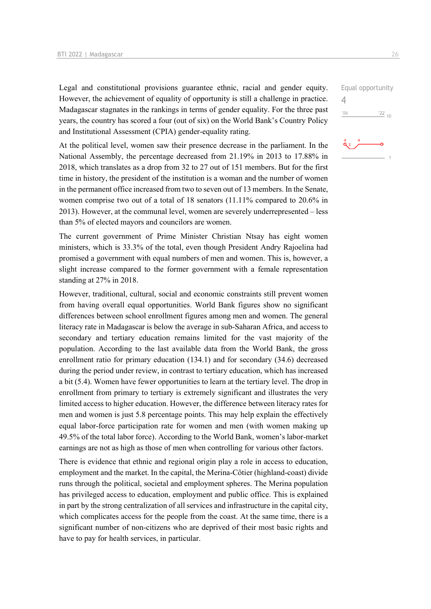Legal and constitutional provisions guarantee ethnic, racial and gender equity. However, the achievement of equality of opportunity is still a challenge in practice. Madagascar stagnates in the rankings in terms of gender equality. For the three past years, the country has scored a four (out of six) on the World Bank's Country Policy and Institutional Assessment (CPIA) gender-equality rating.

At the political level, women saw their presence decrease in the parliament. In the National Assembly, the percentage decreased from 21.19% in 2013 to 17.88% in 2018, which translates as a drop from 32 to 27 out of 151 members. But for the first time in history, the president of the institution is a woman and the number of women in the permanent office increased from two to seven out of 13 members. In the Senate, women comprise two out of a total of 18 senators (11.11% compared to 20.6% in 2013). However, at the communal level, women are severely underrepresented – less than 5% of elected mayors and councilors are women.

The current government of Prime Minister Christian Ntsay has eight women ministers, which is 33.3% of the total, even though President Andry Rajoelina had promised a government with equal numbers of men and women. This is, however, a slight increase compared to the former government with a female representation standing at 27% in 2018.

However, traditional, cultural, social and economic constraints still prevent women from having overall equal opportunities. World Bank figures show no significant differences between school enrollment figures among men and women. The general literacy rate in Madagascar is below the average in sub-Saharan Africa, and access to secondary and tertiary education remains limited for the vast majority of the population. According to the last available data from the World Bank, the gross enrollment ratio for primary education (134.1) and for secondary (34.6) decreased during the period under review, in contrast to tertiary education, which has increased a bit (5.4). Women have fewer opportunities to learn at the tertiary level. The drop in enrollment from primary to tertiary is extremely significant and illustrates the very limited access to higher education. However, the difference between literacy rates for men and women is just 5.8 percentage points. This may help explain the effectively equal labor-force participation rate for women and men (with women making up 49.5% of the total labor force). According to the World Bank, women's labor-market earnings are not as high as those of men when controlling for various other factors.

There is evidence that ethnic and regional origin play a role in access to education, employment and the market. In the capital, the Merina-Côtier (highland-coast) divide runs through the political, societal and employment spheres. The Merina population has privileged access to education, employment and public office. This is explained in part by the strong centralization of all services and infrastructure in the capital city, which complicates access for the people from the coast. At the same time, there is a significant number of non-citizens who are deprived of their most basic rights and have to pay for health services, in particular.



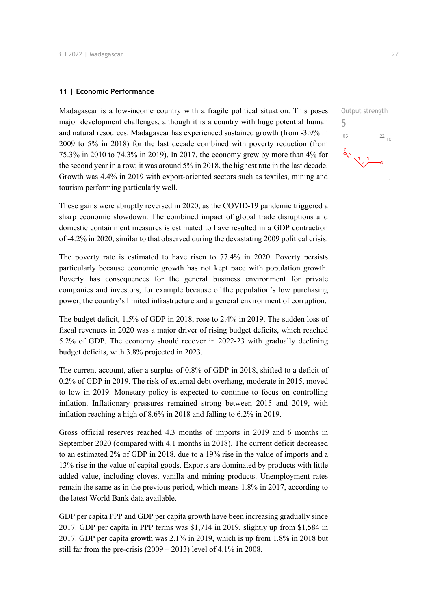#### **11 | Economic Performance**

Madagascar is a low-income country with a fragile political situation. This poses major development challenges, although it is a country with huge potential human and natural resources. Madagascar has experienced sustained growth (from -3.9% in 2009 to 5% in 2018) for the last decade combined with poverty reduction (from 75.3% in 2010 to 74.3% in 2019). In 2017, the economy grew by more than 4% for the second year in a row; it was around 5% in 2018, the highest rate in the last decade. Growth was 4.4% in 2019 with export-oriented sectors such as textiles, mining and tourism performing particularly well.

These gains were abruptly reversed in 2020, as the COVID-19 pandemic triggered a sharp economic slowdown. The combined impact of global trade disruptions and domestic containment measures is estimated to have resulted in a GDP contraction of -4.2% in 2020, similar to that observed during the devastating 2009 political crisis.

The poverty rate is estimated to have risen to 77.4% in 2020. Poverty persists particularly because economic growth has not kept pace with population growth. Poverty has consequences for the general business environment for private companies and investors, for example because of the population's low purchasing power, the country's limited infrastructure and a general environment of corruption.

The budget deficit, 1.5% of GDP in 2018, rose to 2.4% in 2019. The sudden loss of fiscal revenues in 2020 was a major driver of rising budget deficits, which reached 5.2% of GDP. The economy should recover in 2022-23 with gradually declining budget deficits, with 3.8% projected in 2023.

The current account, after a surplus of 0.8% of GDP in 2018, shifted to a deficit of 0.2% of GDP in 2019. The risk of external debt overhang, moderate in 2015, moved to low in 2019. Monetary policy is expected to continue to focus on controlling inflation. Inflationary pressures remained strong between 2015 and 2019, with inflation reaching a high of 8.6% in 2018 and falling to 6.2% in 2019.

Gross official reserves reached 4.3 months of imports in 2019 and 6 months in September 2020 (compared with 4.1 months in 2018). The current deficit decreased to an estimated 2% of GDP in 2018, due to a 19% rise in the value of imports and a 13% rise in the value of capital goods. Exports are dominated by products with little added value, including cloves, vanilla and mining products. Unemployment rates remain the same as in the previous period, which means 1.8% in 2017, according to the latest World Bank data available.

GDP per capita PPP and GDP per capita growth have been increasing gradually since 2017. GDP per capita in PPP terms was \$1,714 in 2019, slightly up from \$1,584 in 2017. GDP per capita growth was 2.1% in 2019, which is up from 1.8% in 2018 but still far from the pre-crisis  $(2009 - 2013)$  level of 4.1% in 2008.

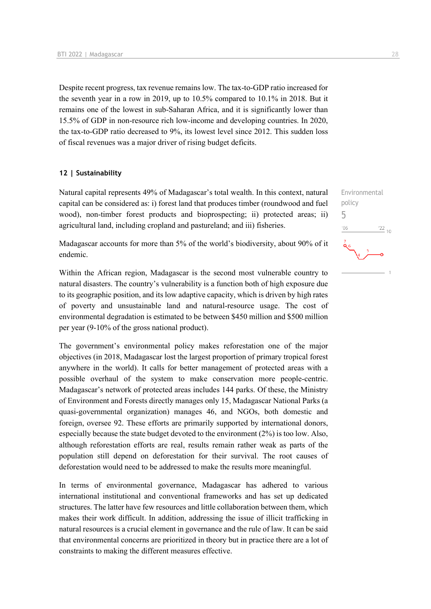Despite recent progress, tax revenue remains low. The tax-to-GDP ratio increased for the seventh year in a row in 2019, up to 10.5% compared to 10.1% in 2018. But it remains one of the lowest in sub-Saharan Africa, and it is significantly lower than 15.5% of GDP in non-resource rich low-income and developing countries. In 2020, the tax-to-GDP ratio decreased to 9%, its lowest level since 2012. This sudden loss of fiscal revenues was a major driver of rising budget deficits.

## **12 | Sustainability**

Natural capital represents 49% of Madagascar's total wealth. In this context, natural capital can be considered as: i) forest land that produces timber (roundwood and fuel wood), non-timber forest products and bioprospecting; ii) protected areas; ii) agricultural land, including cropland and pastureland; and iii) fisheries.

Madagascar accounts for more than 5% of the world's biodiversity, about 90% of it endemic.

Within the African region, Madagascar is the second most vulnerable country to natural disasters. The country's vulnerability is a function both of high exposure due to its geographic position, and its low adaptive capacity, which is driven by high rates of poverty and unsustainable land and natural-resource usage. The cost of environmental degradation is estimated to be between \$450 million and \$500 million per year (9-10% of the gross national product).

The government's environmental policy makes reforestation one of the major objectives (in 2018, Madagascar lost the largest proportion of primary tropical forest anywhere in the world). It calls for better management of protected areas with a possible overhaul of the system to make conservation more people-centric. Madagascar's network of protected areas includes 144 parks. Of these, the Ministry of Environment and Forests directly manages only 15, Madagascar National Parks (a quasi-governmental organization) manages 46, and NGOs, both domestic and foreign, oversee 92. These efforts are primarily supported by international donors, especially because the state budget devoted to the environment (2%) is too low. Also, although reforestation efforts are real, results remain rather weak as parts of the population still depend on deforestation for their survival. The root causes of deforestation would need to be addressed to make the results more meaningful.

In terms of environmental governance, Madagascar has adhered to various international institutional and conventional frameworks and has set up dedicated structures. The latter have few resources and little collaboration between them, which makes their work difficult. In addition, addressing the issue of illicit trafficking in natural resources is a crucial element in governance and the rule of law. It can be said that environmental concerns are prioritized in theory but in practice there are a lot of constraints to making the different measures effective.

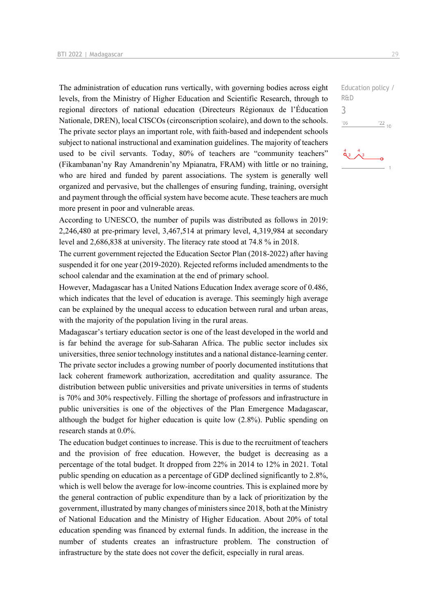The administration of education runs vertically, with governing bodies across eight levels, from the Ministry of Higher Education and Scientific Research, through to regional directors of national education (Directeurs Régionaux de l'Éducation Nationale, DREN), local CISCOs (circonscription scolaire), and down to the schools. The private sector plays an important role, with faith-based and independent schools subject to national instructional and examination guidelines. The majority of teachers used to be civil servants. Today, 80% of teachers are "community teachers" (Fikambanan'ny Ray Amandrenin'ny Mpianatra, FRAM) with little or no training, who are hired and funded by parent associations. The system is generally well organized and pervasive, but the challenges of ensuring funding, training, oversight and payment through the official system have become acute. These teachers are much more present in poor and vulnerable areas.

According to UNESCO, the number of pupils was distributed as follows in 2019: 2,246,480 at pre-primary level, 3,467,514 at primary level, 4,319,984 at secondary level and 2,686,838 at university. The literacy rate stood at 74.8 % in 2018.

The current government rejected the Education Sector Plan (2018-2022) after having suspended it for one year (2019-2020). Rejected reforms included amendments to the school calendar and the examination at the end of primary school.

However, Madagascar has a United Nations Education Index average score of 0.486, which indicates that the level of education is average. This seemingly high average can be explained by the unequal access to education between rural and urban areas, with the majority of the population living in the rural areas.

Madagascar's tertiary education sector is one of the least developed in the world and is far behind the average for sub-Saharan Africa. The public sector includes six universities, three senior technology institutes and a national distance-learning center. The private sector includes a growing number of poorly documented institutions that lack coherent framework authorization, accreditation and quality assurance. The distribution between public universities and private universities in terms of students is 70% and 30% respectively. Filling the shortage of professors and infrastructure in public universities is one of the objectives of the Plan Emergence Madagascar, although the budget for higher education is quite low (2.8%). Public spending on research stands at 0.0%.

The education budget continues to increase. This is due to the recruitment of teachers and the provision of free education. However, the budget is decreasing as a percentage of the total budget. It dropped from 22% in 2014 to 12% in 2021. Total public spending on education as a percentage of GDP declined significantly to 2.8%, which is well below the average for low-income countries. This is explained more by the general contraction of public expenditure than by a lack of prioritization by the government, illustrated by many changes of ministers since 2018, both at the Ministry of National Education and the Ministry of Higher Education. About 20% of total education spending was financed by external funds. In addition, the increase in the number of students creates an infrastructure problem. The construction of infrastructure by the state does not cover the deficit, especially in rural areas.

Education policy / R&D 3 $-06$  $\frac{22}{10}$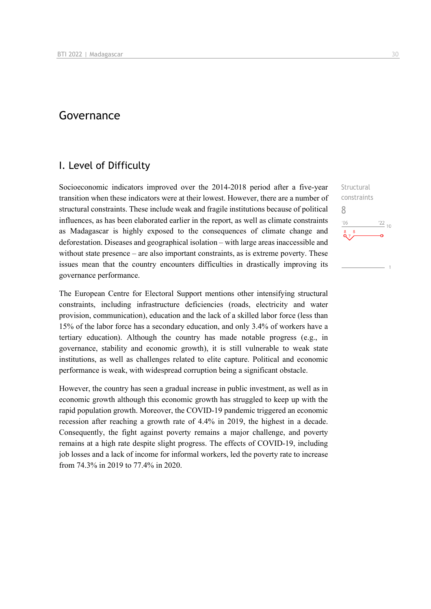# Governance

# I. Level of Difficulty

Socioeconomic indicators improved over the 2014-2018 period after a five-year transition when these indicators were at their lowest. However, there are a number of structural constraints. These include weak and fragile institutions because of political influences, as has been elaborated earlier in the report, as well as climate constraints as Madagascar is highly exposed to the consequences of climate change and deforestation. Diseases and geographical isolation – with large areas inaccessible and without state presence – are also important constraints, as is extreme poverty. These issues mean that the country encounters difficulties in drastically improving its governance performance.

The European Centre for Electoral Support mentions other intensifying structural constraints, including infrastructure deficiencies (roads, electricity and water provision, communication), education and the lack of a skilled labor force (less than 15% of the labor force has a secondary education, and only 3.4% of workers have a tertiary education). Although the country has made notable progress (e.g., in governance, stability and economic growth), it is still vulnerable to weak state institutions, as well as challenges related to elite capture. Political and economic performance is weak, with widespread corruption being a significant obstacle.

However, the country has seen a gradual increase in public investment, as well as in economic growth although this economic growth has struggled to keep up with the rapid population growth. Moreover, the COVID-19 pandemic triggered an economic recession after reaching a growth rate of 4.4% in 2019, the highest in a decade. Consequently, the fight against poverty remains a major challenge, and poverty remains at a high rate despite slight progress. The effects of COVID-19, including job losses and a lack of income for informal workers, led the poverty rate to increase from 74.3% in 2019 to 77.4% in 2020.

**Structural** constraints 8 $-06$  $\frac{22}{10}$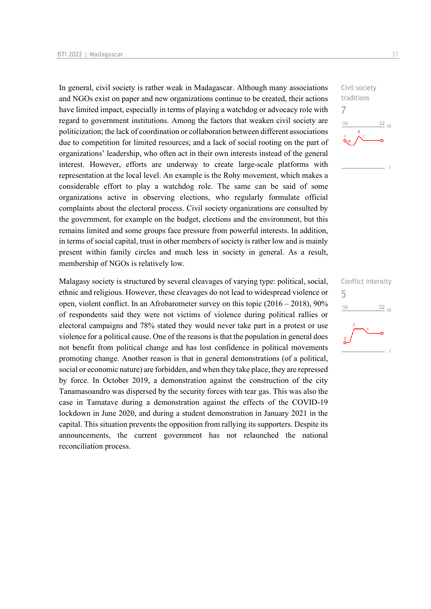In general, civil society is rather weak in Madagascar. Although many associations and NGOs exist on paper and new organizations continue to be created, their actions have limited impact, especially in terms of playing a watchdog or advocacy role with regard to government institutions. Among the factors that weaken civil society are politicization; the lack of coordination or collaboration between different associations due to competition for limited resources; and a lack of social rooting on the part of organizations' leadership, who often act in their own interests instead of the general interest. However, efforts are underway to create large-scale platforms with representation at the local level. An example is the Rohy movement, which makes a considerable effort to play a watchdog role. The same can be said of some organizations active in observing elections, who regularly formulate official complaints about the electoral process. Civil society organizations are consulted by the government, for example on the budget, elections and the environment, but this remains limited and some groups face pressure from powerful interests. In addition, in terms of social capital, trust in other members of society is rather low and is mainly present within family circles and much less in society in general. As a result, membership of NGOs is relatively low.

Malagasy society is structured by several cleavages of varying type: political, social, ethnic and religious. However, these cleavages do not lead to widespread violence or open, violent conflict. In an Afrobarometer survey on this topic (2016 – 2018), 90% of respondents said they were not victims of violence during political rallies or electoral campaigns and 78% stated they would never take part in a protest or use violence for a political cause. One of the reasons is that the population in general does not benefit from political change and has lost confidence in political movements promoting change. Another reason is that in general demonstrations (of a political, social or economic nature) are forbidden, and when they take place, they are repressed by force. In October 2019, a demonstration against the construction of the city Tanamasoandro was dispersed by the security forces with tear gas. This was also the case in Tamatave during a demonstration against the effects of the COVID-19 lockdown in June 2020, and during a student demonstration in January 2021 in the capital. This situation prevents the opposition from rallying its supporters. Despite its announcements, the current government has not relaunched the national reconciliation process.



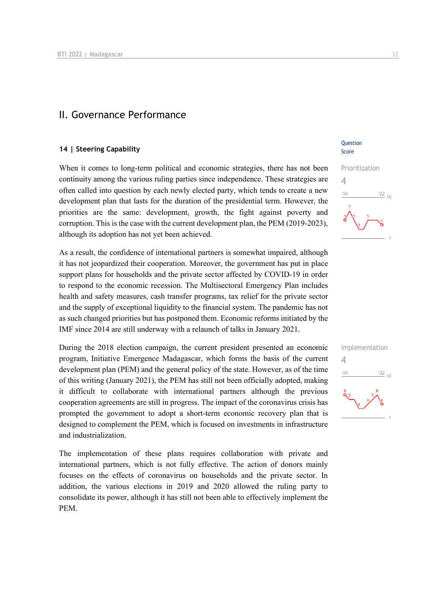# II. Governance Performance

## **14 | Steering Capability**

When it comes to long-term political and economic strategies, there has not been continuity among the various ruling parties since independence. These strategies are often called into question by each newly elected party, which tends to create a new development plan that lasts for the duration of the presidential term. However, the priorities are the same: development, growth, the fight against poverty and corruption. This is the case with the current development plan, the PEM (2019-2023), although its adoption has not yet been achieved.

As a result, the confidence of international partners is somewhat impaired, although it has not jeopardized their cooperation. Moreover, the government has put in place support plans for households and the private sector affected by COVID-19 in order to respond to the economic recession. The Multisectoral Emergency Plan includes health and safety measures, cash transfer programs, tax relief for the private sector and the supply of exceptional liquidity to the financial system. The pandemic has not as such changed priorities but has postponed them. Economic reforms initiated by the IMF since 2014 are still underway with a relaunch of talks in January 2021.

During the 2018 election campaign, the current president presented an economic program, Initiative Emergence Madagascar, which forms the basis of the current development plan (PEM) and the general policy of the state. However, as of the time of this writing (January 2021), the PEM has still not been officially adopted, making it difficult to collaborate with international partners although the previous cooperation agreements are still in progress. The impact of the coronavirus crisis has prompted the government to adopt a short-term economic recovery plan that is designed to complement the PEM, which is focused on investments in infrastructure and industrialization.

The implementation of these plans requires collaboration with private and international partners, which is not fully effective. The action of donors mainly focuses on the effects of coronavirus on households and the private sector. In addition, the various elections in 2019 and 2020 allowed the ruling party to consolidate its power, although it has still not been able to effectively implement the PEM.

## **Ouestion** Score



| Implementation  |                 |
|-----------------|-----------------|
| '06             | $\frac{22}{10}$ |
| $\frac{6}{9}$ 5 |                 |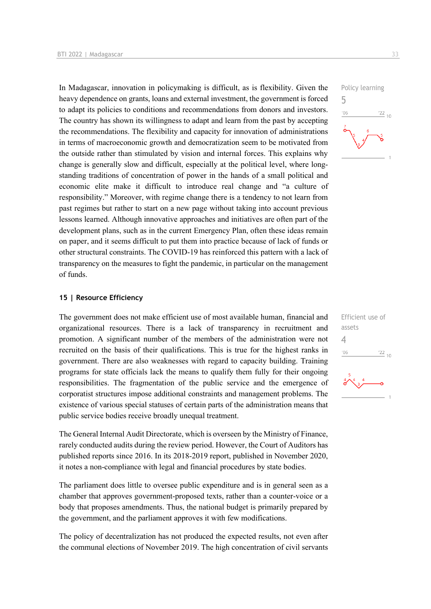In Madagascar, innovation in policymaking is difficult, as is flexibility. Given the heavy dependence on grants, loans and external investment, the government is forced to adapt its policies to conditions and recommendations from donors and investors. The country has shown its willingness to adapt and learn from the past by accepting the recommendations. The flexibility and capacity for innovation of administrations in terms of macroeconomic growth and democratization seem to be motivated from the outside rather than stimulated by vision and internal forces. This explains why change is generally slow and difficult, especially at the political level, where longstanding traditions of concentration of power in the hands of a small political and economic elite make it difficult to introduce real change and "a culture of responsibility." Moreover, with regime change there is a tendency to not learn from past regimes but rather to start on a new page without taking into account previous lessons learned. Although innovative approaches and initiatives are often part of the development plans, such as in the current Emergency Plan, often these ideas remain on paper, and it seems difficult to put them into practice because of lack of funds or other structural constraints. The COVID-19 has reinforced this pattern with a lack of transparency on the measures to fight the pandemic, in particular on the management of funds.

## **15 | Resource Efficiency**

The government does not make efficient use of most available human, financial and organizational resources. There is a lack of transparency in recruitment and promotion. A significant number of the members of the administration were not recruited on the basis of their qualifications. This is true for the highest ranks in government. There are also weaknesses with regard to capacity building. Training programs for state officials lack the means to qualify them fully for their ongoing responsibilities. The fragmentation of the public service and the emergence of corporatist structures impose additional constraints and management problems. The existence of various special statuses of certain parts of the administration means that public service bodies receive broadly unequal treatment.

The General Internal Audit Directorate, which is overseen by the Ministry of Finance, rarely conducted audits during the review period. However, the Court of Auditors has published reports since 2016. In its 2018-2019 report, published in November 2020, it notes a non-compliance with legal and financial procedures by state bodies.

The parliament does little to oversee public expenditure and is in general seen as a chamber that approves government-proposed texts, rather than a counter-voice or a body that proposes amendments. Thus, the national budget is primarily prepared by the government, and the parliament approves it with few modifications.

The policy of decentralization has not produced the expected results, not even after the communal elections of November 2019. The high concentration of civil servants



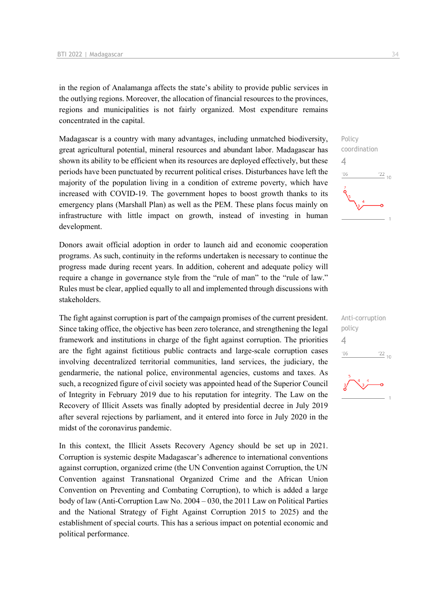in the region of Analamanga affects the state's ability to provide public services in the outlying regions. Moreover, the allocation of financial resources to the provinces, regions and municipalities is not fairly organized. Most expenditure remains concentrated in the capital.

Madagascar is a country with many advantages, including unmatched biodiversity, great agricultural potential, mineral resources and abundant labor. Madagascar has shown its ability to be efficient when its resources are deployed effectively, but these periods have been punctuated by recurrent political crises. Disturbances have left the majority of the population living in a condition of extreme poverty, which have increased with COVID-19. The government hopes to boost growth thanks to its emergency plans (Marshall Plan) as well as the PEM. These plans focus mainly on infrastructure with little impact on growth, instead of investing in human development.

Donors await official adoption in order to launch aid and economic cooperation programs. As such, continuity in the reforms undertaken is necessary to continue the progress made during recent years. In addition, coherent and adequate policy will require a change in governance style from the "rule of man" to the "rule of law." Rules must be clear, applied equally to all and implemented through discussions with stakeholders.

The fight against corruption is part of the campaign promises of the current president. Since taking office, the objective has been zero tolerance, and strengthening the legal framework and institutions in charge of the fight against corruption. The priorities are the fight against fictitious public contracts and large-scale corruption cases involving decentralized territorial communities, land services, the judiciary, the gendarmerie, the national police, environmental agencies, customs and taxes. As such, a recognized figure of civil society was appointed head of the Superior Council of Integrity in February 2019 due to his reputation for integrity. The Law on the Recovery of Illicit Assets was finally adopted by presidential decree in July 2019 after several rejections by parliament, and it entered into force in July 2020 in the midst of the coronavirus pandemic.

In this context, the Illicit Assets Recovery Agency should be set up in 2021. Corruption is systemic despite Madagascar's adherence to international conventions against corruption, organized crime (the UN Convention against Corruption, the UN Convention against Transnational Organized Crime and the African Union Convention on Preventing and Combating Corruption), to which is added a large body of law (Anti-Corruption Law No. 2004 – 030, the 2011 Law on Political Parties and the National Strategy of Fight Against Corruption 2015 to 2025) and the establishment of special courts. This has a serious impact on potential economic and political performance.





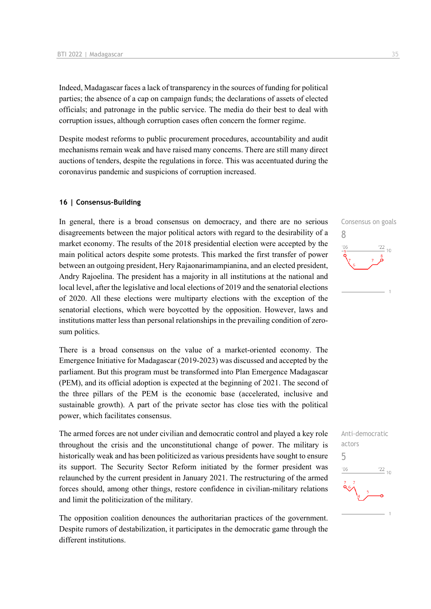Indeed, Madagascar faces a lack of transparency in the sources of funding for political parties; the absence of a cap on campaign funds; the declarations of assets of elected officials; and patronage in the public service. The media do their best to deal with corruption issues, although corruption cases often concern the former regime.

Despite modest reforms to public procurement procedures, accountability and audit mechanisms remain weak and have raised many concerns. There are still many direct auctions of tenders, despite the regulations in force. This was accentuated during the coronavirus pandemic and suspicions of corruption increased.

## **16 | Consensus-Building**

In general, there is a broad consensus on democracy, and there are no serious disagreements between the major political actors with regard to the desirability of a market economy. The results of the 2018 presidential election were accepted by the main political actors despite some protests. This marked the first transfer of power between an outgoing president, Hery Rajaonarimampianina, and an elected president, Andry Rajoelina. The president has a majority in all institutions at the national and local level, after the legislative and local elections of 2019 and the senatorial elections of 2020. All these elections were multiparty elections with the exception of the senatorial elections, which were boycotted by the opposition. However, laws and institutions matter less than personal relationships in the prevailing condition of zerosum politics.

There is a broad consensus on the value of a market-oriented economy. The Emergence Initiative for Madagascar (2019-2023) was discussed and accepted by the parliament. But this program must be transformed into Plan Emergence Madagascar (PEM), and its official adoption is expected at the beginning of 2021. The second of the three pillars of the PEM is the economic base (accelerated, inclusive and sustainable growth). A part of the private sector has close ties with the political power, which facilitates consensus.

The armed forces are not under civilian and democratic control and played a key role throughout the crisis and the unconstitutional change of power. The military is historically weak and has been politicized as various presidents have sought to ensure its support. The Security Sector Reform initiated by the former president was relaunched by the current president in January 2021. The restructuring of the armed forces should, among other things, restore confidence in civilian-military relations and limit the politicization of the military.

The opposition coalition denounces the authoritarian practices of the government. Despite rumors of destabilization, it participates in the democratic game through the different institutions.



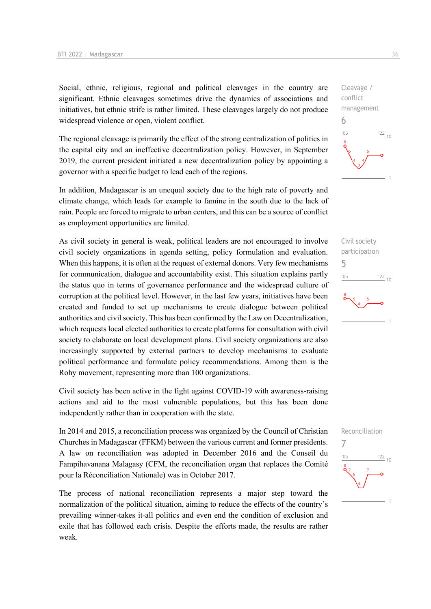Social, ethnic, religious, regional and political cleavages in the country are significant. Ethnic cleavages sometimes drive the dynamics of associations and initiatives, but ethnic strife is rather limited. These cleavages largely do not produce widespread violence or open, violent conflict.

The regional cleavage is primarily the effect of the strong centralization of politics in the capital city and an ineffective decentralization policy. However, in September 2019, the current president initiated a new decentralization policy by appointing a governor with a specific budget to lead each of the regions.

In addition, Madagascar is an unequal society due to the high rate of poverty and climate change, which leads for example to famine in the south due to the lack of rain. People are forced to migrate to urban centers, and this can be a source of conflict as employment opportunities are limited.

As civil society in general is weak, political leaders are not encouraged to involve civil society organizations in agenda setting, policy formulation and evaluation. When this happens, it is often at the request of external donors. Very few mechanisms for communication, dialogue and accountability exist. This situation explains partly the status quo in terms of governance performance and the widespread culture of corruption at the political level. However, in the last few years, initiatives have been created and funded to set up mechanisms to create dialogue between political authorities and civil society. This has been confirmed by the Law on Decentralization, which requests local elected authorities to create platforms for consultation with civil society to elaborate on local development plans. Civil society organizations are also increasingly supported by external partners to develop mechanisms to evaluate political performance and formulate policy recommendations. Among them is the Rohy movement, representing more than 100 organizations.

Civil society has been active in the fight against COVID-19 with awareness-raising actions and aid to the most vulnerable populations, but this has been done independently rather than in cooperation with the state.

In 2014 and 2015, a reconciliation process was organized by the Council of Christian Churches in Madagascar (FFKM) between the various current and former presidents. A law on reconciliation was adopted in December 2016 and the Conseil du Fampihavanana Malagasy (CFM, the reconciliation organ that replaces the Comité pour la Réconciliation Nationale) was in October 2017.

The process of national reconciliation represents a major step toward the normalization of the political situation, aiming to reduce the effects of the country's prevailing winner-takes it-all politics and even end the condition of exclusion and exile that has followed each crisis. Despite the efforts made, the results are rather weak.



Civil society participation 5  $-06$  $\frac{22}{10}$ 

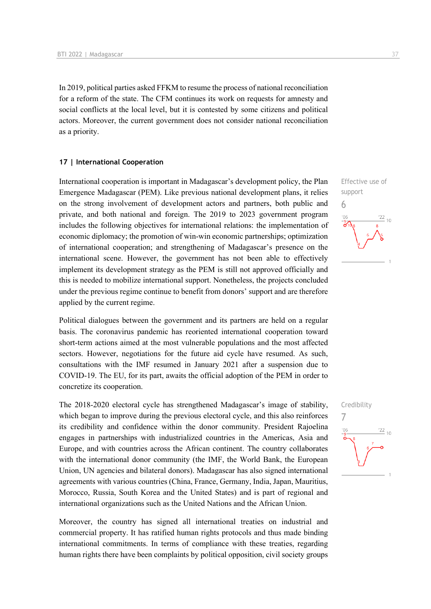In 2019, political parties asked FFKM to resume the process of national reconciliation for a reform of the state. The CFM continues its work on requests for amnesty and social conflicts at the local level, but it is contested by some citizens and political actors. Moreover, the current government does not consider national reconciliation as a priority.

#### **17 | International Cooperation**

International cooperation is important in Madagascar's development policy, the Plan Emergence Madagascar (PEM). Like previous national development plans, it relies on the strong involvement of development actors and partners, both public and private, and both national and foreign. The 2019 to 2023 government program includes the following objectives for international relations: the implementation of economic diplomacy; the promotion of win-win economic partnerships; optimization of international cooperation; and strengthening of Madagascar's presence on the international scene. However, the government has not been able to effectively implement its development strategy as the PEM is still not approved officially and this is needed to mobilize international support. Nonetheless, the projects concluded under the previous regime continue to benefit from donors' support and are therefore applied by the current regime.

Political dialogues between the government and its partners are held on a regular basis. The coronavirus pandemic has reoriented international cooperation toward short-term actions aimed at the most vulnerable populations and the most affected sectors. However, negotiations for the future aid cycle have resumed. As such, consultations with the IMF resumed in January 2021 after a suspension due to COVID-19. The EU, for its part, awaits the official adoption of the PEM in order to concretize its cooperation.

The 2018-2020 electoral cycle has strengthened Madagascar's image of stability, which began to improve during the previous electoral cycle, and this also reinforces its credibility and confidence within the donor community. President Rajoelina engages in partnerships with industrialized countries in the Americas, Asia and Europe, and with countries across the African continent. The country collaborates with the international donor community (the IMF, the World Bank, the European Union, UN agencies and bilateral donors). Madagascar has also signed international agreements with various countries (China, France, Germany, India, Japan, Mauritius, Morocco, Russia, South Korea and the United States) and is part of regional and international organizations such as the United Nations and the African Union.

Moreover, the country has signed all international treaties on industrial and commercial property. It has ratified human rights protocols and thus made binding international commitments. In terms of compliance with these treaties, regarding human rights there have been complaints by political opposition, civil society groups



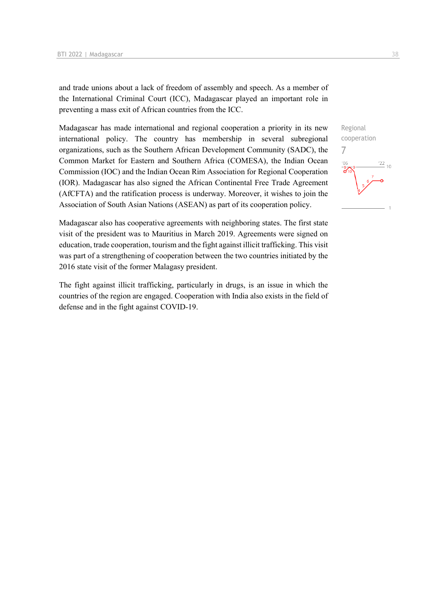and trade unions about a lack of freedom of assembly and speech. As a member of the International Criminal Court (ICC), Madagascar played an important role in preventing a mass exit of African countries from the ICC.

Madagascar has made international and regional cooperation a priority in its new international policy. The country has membership in several subregional organizations, such as the Southern African Development Community (SADC), the Common Market for Eastern and Southern Africa (COMESA), the Indian Ocean Commission (IOC) and the Indian Ocean Rim Association for Regional Cooperation (IOR). Madagascar has also signed the African Continental Free Trade Agreement (AfCFTA) and the ratification process is underway. Moreover, it wishes to join the Association of South Asian Nations (ASEAN) as part of its cooperation policy.

Madagascar also has cooperative agreements with neighboring states. The first state visit of the president was to Mauritius in March 2019. Agreements were signed on education, trade cooperation, tourism and the fight against illicit trafficking. This visit was part of a strengthening of cooperation between the two countries initiated by the 2016 state visit of the former Malagasy president.

The fight against illicit trafficking, particularly in drugs, is an issue in which the countries of the region are engaged. Cooperation with India also exists in the field of defense and in the fight against COVID-19.

Regional cooperation 7 $\frac{22}{10}$  $^{\prime}$ OF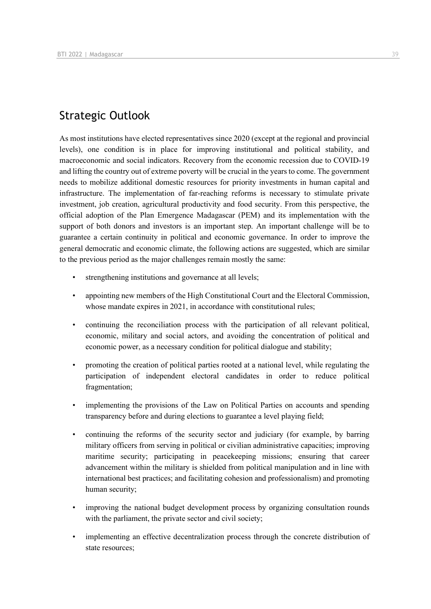# Strategic Outlook

As most institutions have elected representatives since 2020 (except at the regional and provincial levels), one condition is in place for improving institutional and political stability, and macroeconomic and social indicators. Recovery from the economic recession due to COVID-19 and lifting the country out of extreme poverty will be crucial in the years to come. The government needs to mobilize additional domestic resources for priority investments in human capital and infrastructure. The implementation of far-reaching reforms is necessary to stimulate private investment, job creation, agricultural productivity and food security. From this perspective, the official adoption of the Plan Emergence Madagascar (PEM) and its implementation with the support of both donors and investors is an important step. An important challenge will be to guarantee a certain continuity in political and economic governance. In order to improve the general democratic and economic climate, the following actions are suggested, which are similar to the previous period as the major challenges remain mostly the same:

- strengthening institutions and governance at all levels;
- appointing new members of the High Constitutional Court and the Electoral Commission, whose mandate expires in 2021, in accordance with constitutional rules:
- continuing the reconciliation process with the participation of all relevant political, economic, military and social actors, and avoiding the concentration of political and economic power, as a necessary condition for political dialogue and stability;
- promoting the creation of political parties rooted at a national level, while regulating the participation of independent electoral candidates in order to reduce political fragmentation;
- implementing the provisions of the Law on Political Parties on accounts and spending transparency before and during elections to guarantee a level playing field;
- continuing the reforms of the security sector and judiciary (for example, by barring military officers from serving in political or civilian administrative capacities; improving maritime security; participating in peacekeeping missions; ensuring that career advancement within the military is shielded from political manipulation and in line with international best practices; and facilitating cohesion and professionalism) and promoting human security;
- improving the national budget development process by organizing consultation rounds with the parliament, the private sector and civil society;
- implementing an effective decentralization process through the concrete distribution of state resources;